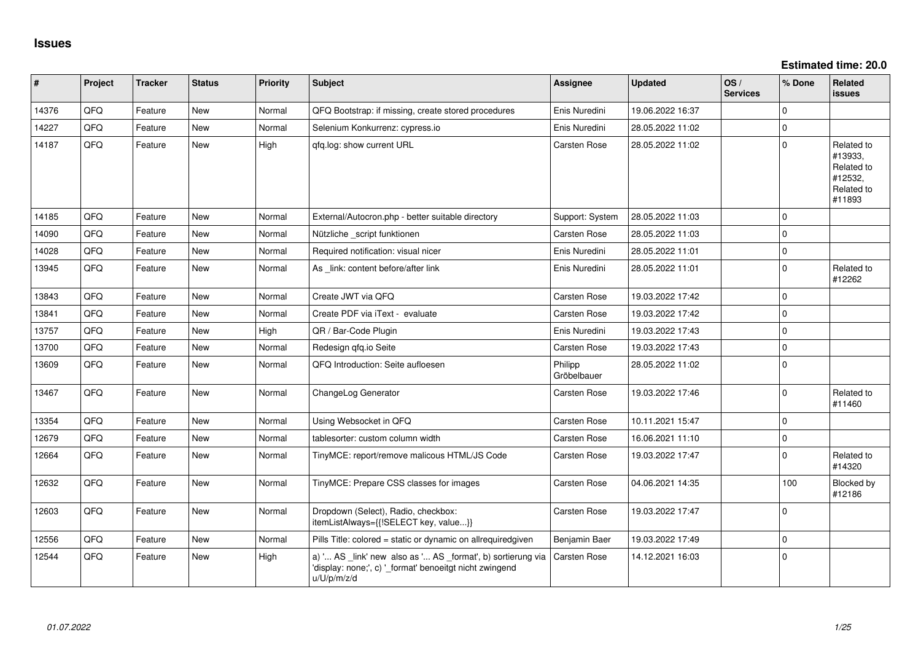**Estimated time: 20.0**

| #     | Project | <b>Tracker</b> | <b>Status</b> | <b>Priority</b> | <b>Subject</b>                                                                                                                        | <b>Assignee</b>        | <b>Updated</b>   | OS/<br><b>Services</b> | % Done      | Related<br><b>issues</b>                                               |
|-------|---------|----------------|---------------|-----------------|---------------------------------------------------------------------------------------------------------------------------------------|------------------------|------------------|------------------------|-------------|------------------------------------------------------------------------|
| 14376 | QFQ     | Feature        | <b>New</b>    | Normal          | QFQ Bootstrap: if missing, create stored procedures                                                                                   | Enis Nuredini          | 19.06.2022 16:37 |                        | $\Omega$    |                                                                        |
| 14227 | QFQ     | Feature        | <b>New</b>    | Normal          | Selenium Konkurrenz: cypress.io                                                                                                       | Enis Nuredini          | 28.05.2022 11:02 |                        | $\Omega$    |                                                                        |
| 14187 | QFQ     | Feature        | New           | High            | qfq.log: show current URL                                                                                                             | Carsten Rose           | 28.05.2022 11:02 |                        | $\Omega$    | Related to<br>#13933,<br>Related to<br>#12532,<br>Related to<br>#11893 |
| 14185 | QFQ     | Feature        | <b>New</b>    | Normal          | External/Autocron.php - better suitable directory                                                                                     | Support: System        | 28.05.2022 11:03 |                        | $\Omega$    |                                                                        |
| 14090 | QFQ     | Feature        | <b>New</b>    | Normal          | Nützliche _script funktionen                                                                                                          | Carsten Rose           | 28.05.2022 11:03 |                        | $\Omega$    |                                                                        |
| 14028 | QFQ     | Feature        | <b>New</b>    | Normal          | Required notification: visual nicer                                                                                                   | Enis Nuredini          | 28.05.2022 11:01 |                        | $\Omega$    |                                                                        |
| 13945 | QFQ     | Feature        | <b>New</b>    | Normal          | As _link: content before/after link                                                                                                   | Enis Nuredini          | 28.05.2022 11:01 |                        | $\Omega$    | Related to<br>#12262                                                   |
| 13843 | QFQ     | Feature        | <b>New</b>    | Normal          | Create JWT via QFQ                                                                                                                    | Carsten Rose           | 19.03.2022 17:42 |                        | $\Omega$    |                                                                        |
| 13841 | QFQ     | Feature        | <b>New</b>    | Normal          | Create PDF via iText - evaluate                                                                                                       | Carsten Rose           | 19.03.2022 17:42 |                        | $\Omega$    |                                                                        |
| 13757 | QFQ     | Feature        | New           | High            | QR / Bar-Code Plugin                                                                                                                  | Enis Nuredini          | 19.03.2022 17:43 |                        | $\Omega$    |                                                                        |
| 13700 | QFQ     | Feature        | <b>New</b>    | Normal          | Redesign qfq.io Seite                                                                                                                 | Carsten Rose           | 19.03.2022 17:43 |                        | $\Omega$    |                                                                        |
| 13609 | QFQ     | Feature        | New           | Normal          | QFQ Introduction: Seite aufloesen                                                                                                     | Philipp<br>Gröbelbauer | 28.05.2022 11:02 |                        | $\Omega$    |                                                                        |
| 13467 | QFQ     | Feature        | New           | Normal          | ChangeLog Generator                                                                                                                   | Carsten Rose           | 19.03.2022 17:46 |                        | 0           | Related to<br>#11460                                                   |
| 13354 | QFQ     | Feature        | New           | Normal          | Using Websocket in QFQ                                                                                                                | Carsten Rose           | 10.11.2021 15:47 |                        | $\mathbf 0$ |                                                                        |
| 12679 | QFQ     | Feature        | <b>New</b>    | Normal          | tablesorter: custom column width                                                                                                      | Carsten Rose           | 16.06.2021 11:10 |                        | $\Omega$    |                                                                        |
| 12664 | QFQ     | Feature        | New           | Normal          | TinyMCE: report/remove malicous HTML/JS Code                                                                                          | Carsten Rose           | 19.03.2022 17:47 |                        | $\Omega$    | Related to<br>#14320                                                   |
| 12632 | QFQ     | Feature        | New           | Normal          | TinyMCE: Prepare CSS classes for images                                                                                               | Carsten Rose           | 04.06.2021 14:35 |                        | 100         | <b>Blocked by</b><br>#12186                                            |
| 12603 | QFQ     | Feature        | <b>New</b>    | Normal          | Dropdown (Select), Radio, checkbox:<br>itemListAlways={{!SELECT key, value}}                                                          | Carsten Rose           | 19.03.2022 17:47 |                        | $\Omega$    |                                                                        |
| 12556 | QFQ     | Feature        | <b>New</b>    | Normal          | Pills Title: colored = static or dynamic on allrequiredgiven                                                                          | Benjamin Baer          | 19.03.2022 17:49 |                        | $\mathbf 0$ |                                                                        |
| 12544 | QFQ     | Feature        | <b>New</b>    | High            | a) ' AS _link' new also as ' AS _format', b) sortierung via<br>'display: none;', c) ' format' benoeitgt nicht zwingend<br>u/U/p/m/z/d | Carsten Rose           | 14.12.2021 16:03 |                        | $\mathbf 0$ |                                                                        |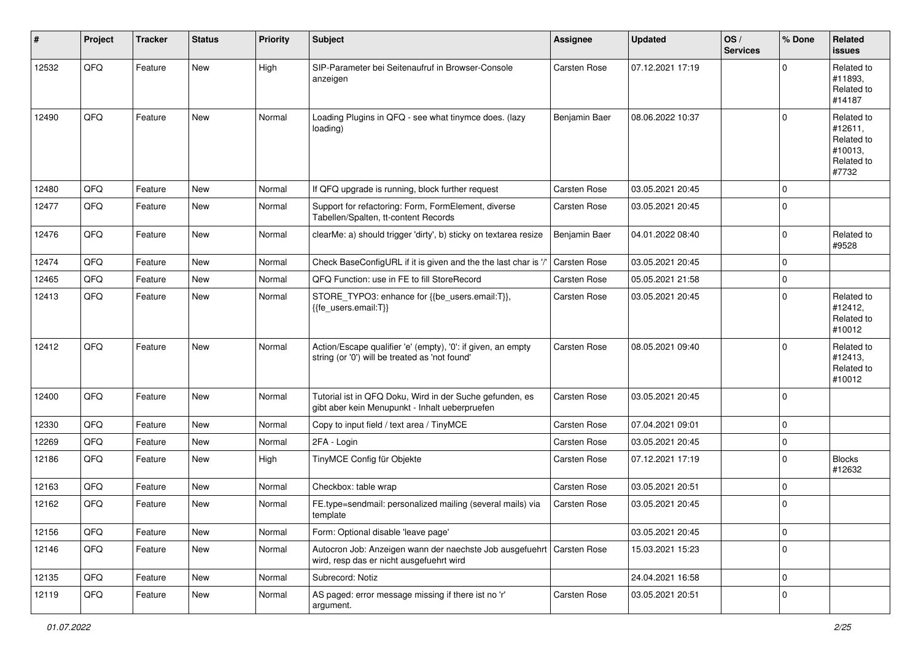| #     | Project | <b>Tracker</b> | <b>Status</b> | <b>Priority</b> | <b>Subject</b>                                                                                                      | <b>Assignee</b>     | <b>Updated</b>   | OS/<br><b>Services</b> | % Done      | <b>Related</b><br><b>issues</b>                                       |
|-------|---------|----------------|---------------|-----------------|---------------------------------------------------------------------------------------------------------------------|---------------------|------------------|------------------------|-------------|-----------------------------------------------------------------------|
| 12532 | QFQ     | Feature        | New           | High            | SIP-Parameter bei Seitenaufruf in Browser-Console<br>anzeigen                                                       | Carsten Rose        | 07.12.2021 17:19 |                        | $\Omega$    | Related to<br>#11893.<br>Related to<br>#14187                         |
| 12490 | QFQ     | Feature        | <b>New</b>    | Normal          | Loading Plugins in QFQ - see what tinymce does. (lazy<br>loading)                                                   | Benjamin Baer       | 08.06.2022 10:37 |                        | $\Omega$    | Related to<br>#12611,<br>Related to<br>#10013,<br>Related to<br>#7732 |
| 12480 | QFQ     | Feature        | <b>New</b>    | Normal          | If QFQ upgrade is running, block further request                                                                    | Carsten Rose        | 03.05.2021 20:45 |                        | 0           |                                                                       |
| 12477 | QFQ     | Feature        | New           | Normal          | Support for refactoring: Form, FormElement, diverse<br>Tabellen/Spalten, tt-content Records                         | Carsten Rose        | 03.05.2021 20:45 |                        | 0           |                                                                       |
| 12476 | QFQ     | Feature        | <b>New</b>    | Normal          | clearMe: a) should trigger 'dirty', b) sticky on textarea resize                                                    | Benjamin Baer       | 04.01.2022 08:40 |                        | 0           | Related to<br>#9528                                                   |
| 12474 | QFQ     | Feature        | <b>New</b>    | Normal          | Check BaseConfigURL if it is given and the the last char is '/'                                                     | <b>Carsten Rose</b> | 03.05.2021 20:45 |                        | 0           |                                                                       |
| 12465 | QFQ     | Feature        | New           | Normal          | QFQ Function: use in FE to fill StoreRecord                                                                         | Carsten Rose        | 05.05.2021 21:58 |                        | $\mathbf 0$ |                                                                       |
| 12413 | QFQ     | Feature        | New           | Normal          | STORE_TYPO3: enhance for {{be_users.email:T}},<br>{{fe users.email:T}}                                              | Carsten Rose        | 03.05.2021 20:45 |                        | 0           | Related to<br>#12412,<br>Related to<br>#10012                         |
| 12412 | QFQ     | Feature        | New           | Normal          | Action/Escape qualifier 'e' (empty), '0': if given, an empty<br>string (or '0') will be treated as 'not found'      | Carsten Rose        | 08.05.2021 09:40 |                        | $\Omega$    | Related to<br>#12413,<br>Related to<br>#10012                         |
| 12400 | QFQ     | Feature        | <b>New</b>    | Normal          | Tutorial ist in QFQ Doku, Wird in der Suche gefunden, es<br>gibt aber kein Menupunkt - Inhalt ueberpruefen          | Carsten Rose        | 03.05.2021 20:45 |                        | $\mathbf 0$ |                                                                       |
| 12330 | QFQ     | Feature        | <b>New</b>    | Normal          | Copy to input field / text area / TinyMCE                                                                           | Carsten Rose        | 07.04.2021 09:01 |                        | 0           |                                                                       |
| 12269 | QFQ     | Feature        | <b>New</b>    | Normal          | 2FA - Login                                                                                                         | Carsten Rose        | 03.05.2021 20:45 |                        | 0           |                                                                       |
| 12186 | QFQ     | Feature        | New           | High            | TinyMCE Config für Objekte                                                                                          | Carsten Rose        | 07.12.2021 17:19 |                        | 0           | <b>Blocks</b><br>#12632                                               |
| 12163 | QFQ     | Feature        | <b>New</b>    | Normal          | Checkbox: table wrap                                                                                                | Carsten Rose        | 03.05.2021 20:51 |                        | 0           |                                                                       |
| 12162 | QFQ     | Feature        | New           | Normal          | FE.type=sendmail: personalized mailing (several mails) via<br>template                                              | Carsten Rose        | 03.05.2021 20:45 |                        | 0           |                                                                       |
| 12156 | QFQ     | Feature        | New           | Normal          | Form: Optional disable 'leave page'                                                                                 |                     | 03.05.2021 20:45 |                        | $\mathbf 0$ |                                                                       |
| 12146 | QFQ     | Feature        | New           | Normal          | Autocron Job: Anzeigen wann der naechste Job ausgefuehrt   Carsten Rose<br>wird, resp das er nicht ausgefuehrt wird |                     | 15.03.2021 15:23 |                        | 0           |                                                                       |
| 12135 | QFQ     | Feature        | New           | Normal          | Subrecord: Notiz                                                                                                    |                     | 24.04.2021 16:58 |                        | $\mathbf 0$ |                                                                       |
| 12119 | QFQ     | Feature        | New           | Normal          | AS paged: error message missing if there ist no 'r'<br>argument.                                                    | Carsten Rose        | 03.05.2021 20:51 |                        | $\mathbf 0$ |                                                                       |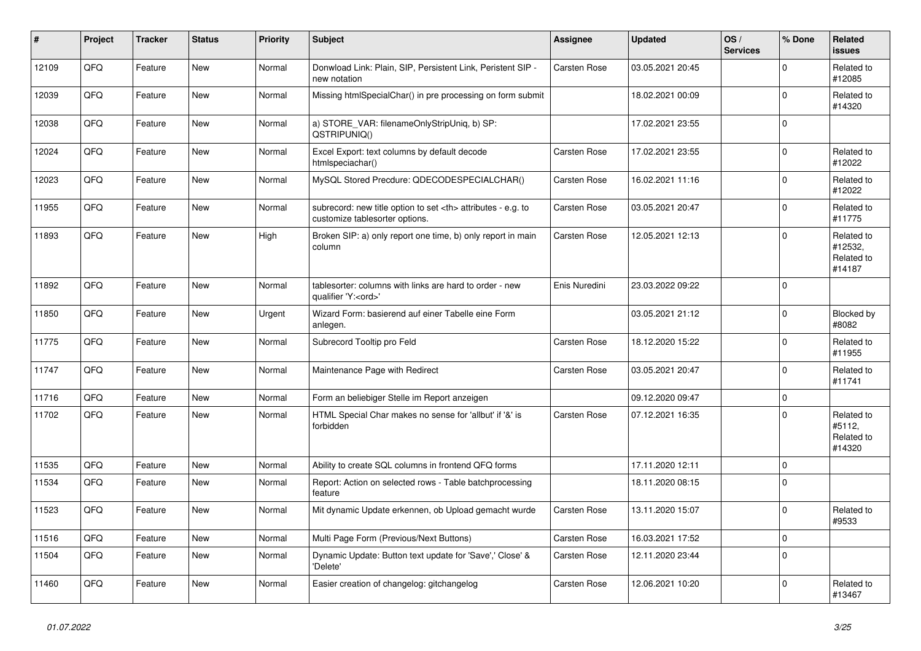| $\vert$ # | Project | <b>Tracker</b> | <b>Status</b> | <b>Priority</b> | <b>Subject</b>                                                                                       | Assignee                                               | <b>Updated</b>   | OS/<br><b>Services</b> | % Done       | Related<br><b>issues</b>                      |                      |
|-----------|---------|----------------|---------------|-----------------|------------------------------------------------------------------------------------------------------|--------------------------------------------------------|------------------|------------------------|--------------|-----------------------------------------------|----------------------|
| 12109     | QFQ     | Feature        | <b>New</b>    | Normal          | Donwload Link: Plain, SIP, Persistent Link, Peristent SIP -<br>new notation                          | Carsten Rose                                           | 03.05.2021 20:45 |                        | $\mathbf{0}$ | Related to<br>#12085                          |                      |
| 12039     | QFQ     | Feature        | <b>New</b>    | Normal          | Missing htmlSpecialChar() in pre processing on form submit                                           |                                                        | 18.02.2021 00:09 |                        | $\Omega$     | Related to<br>#14320                          |                      |
| 12038     | QFQ     | Feature        | New           | Normal          | a) STORE_VAR: filenameOnlyStripUniq, b) SP:<br>QSTRIPUNIQ()                                          |                                                        | 17.02.2021 23:55 |                        | $\mathbf 0$  |                                               |                      |
| 12024     | QFQ     | Feature        | <b>New</b>    | Normal          | Excel Export: text columns by default decode<br>htmlspeciachar()                                     | Carsten Rose                                           | 17.02.2021 23:55 |                        | $\Omega$     | Related to<br>#12022                          |                      |
| 12023     | QFQ     | Feature        | <b>New</b>    | Normal          | MySQL Stored Precdure: QDECODESPECIALCHAR()                                                          | Carsten Rose                                           | 16.02.2021 11:16 |                        | $\mathbf{0}$ | Related to<br>#12022                          |                      |
| 11955     | QFQ     | Feature        | <b>New</b>    | Normal          | subrecord: new title option to set <th> attributes - e.g. to<br/>customize tablesorter options.</th> | attributes - e.g. to<br>customize tablesorter options. | Carsten Rose     | 03.05.2021 20:47       |              | 0                                             | Related to<br>#11775 |
| 11893     | QFQ     | Feature        | New           | High            | Broken SIP: a) only report one time, b) only report in main<br>column                                | Carsten Rose                                           | 12.05.2021 12:13 |                        | $\Omega$     | Related to<br>#12532,<br>Related to<br>#14187 |                      |
| 11892     | QFQ     | Feature        | New           | Normal          | tablesorter: columns with links are hard to order - new<br>qualifier 'Y: <ord>'</ord>                | Enis Nuredini                                          | 23.03.2022 09:22 |                        | 0            |                                               |                      |
| 11850     | QFQ     | Feature        | <b>New</b>    | Urgent          | Wizard Form: basierend auf einer Tabelle eine Form<br>anlegen.                                       |                                                        | 03.05.2021 21:12 |                        | $\Omega$     | Blocked by<br>#8082                           |                      |
| 11775     | QFQ     | Feature        | <b>New</b>    | Normal          | Subrecord Tooltip pro Feld                                                                           | Carsten Rose                                           | 18.12.2020 15:22 |                        | $\mathbf{0}$ | Related to<br>#11955                          |                      |
| 11747     | QFQ     | Feature        | <b>New</b>    | Normal          | Maintenance Page with Redirect                                                                       | Carsten Rose                                           | 03.05.2021 20:47 |                        | $\Omega$     | Related to<br>#11741                          |                      |
| 11716     | QFQ     | Feature        | <b>New</b>    | Normal          | Form an beliebiger Stelle im Report anzeigen                                                         |                                                        | 09.12.2020 09:47 |                        | 0            |                                               |                      |
| 11702     | QFQ     | Feature        | New           | Normal          | HTML Special Char makes no sense for 'allbut' if '&' is<br>forbidden                                 | Carsten Rose                                           | 07.12.2021 16:35 |                        | 0            | Related to<br>#5112,<br>Related to<br>#14320  |                      |
| 11535     | QFQ     | Feature        | <b>New</b>    | Normal          | Ability to create SQL columns in frontend QFQ forms                                                  |                                                        | 17.11.2020 12:11 |                        | 0            |                                               |                      |
| 11534     | QFQ     | Feature        | New           | Normal          | Report: Action on selected rows - Table batchprocessing<br>feature                                   |                                                        | 18.11.2020 08:15 |                        | $\mathbf 0$  |                                               |                      |
| 11523     | QFQ     | Feature        | <b>New</b>    | Normal          | Mit dynamic Update erkennen, ob Upload gemacht wurde                                                 | Carsten Rose                                           | 13.11.2020 15:07 |                        | $\Omega$     | Related to<br>#9533                           |                      |
| 11516     | QFQ     | Feature        | <b>New</b>    | Normal          | Multi Page Form (Previous/Next Buttons)                                                              | Carsten Rose                                           | 16.03.2021 17:52 |                        | 0            |                                               |                      |
| 11504     | QFQ     | Feature        | <b>New</b>    | Normal          | Dynamic Update: Button text update for 'Save',' Close' &<br>'Delete'                                 | Carsten Rose                                           | 12.11.2020 23:44 |                        | $\mathbf{0}$ |                                               |                      |
| 11460     | QFQ     | Feature        | <b>New</b>    | Normal          | Easier creation of changelog: gitchangelog                                                           | Carsten Rose                                           | 12.06.2021 10:20 |                        | $\Omega$     | Related to<br>#13467                          |                      |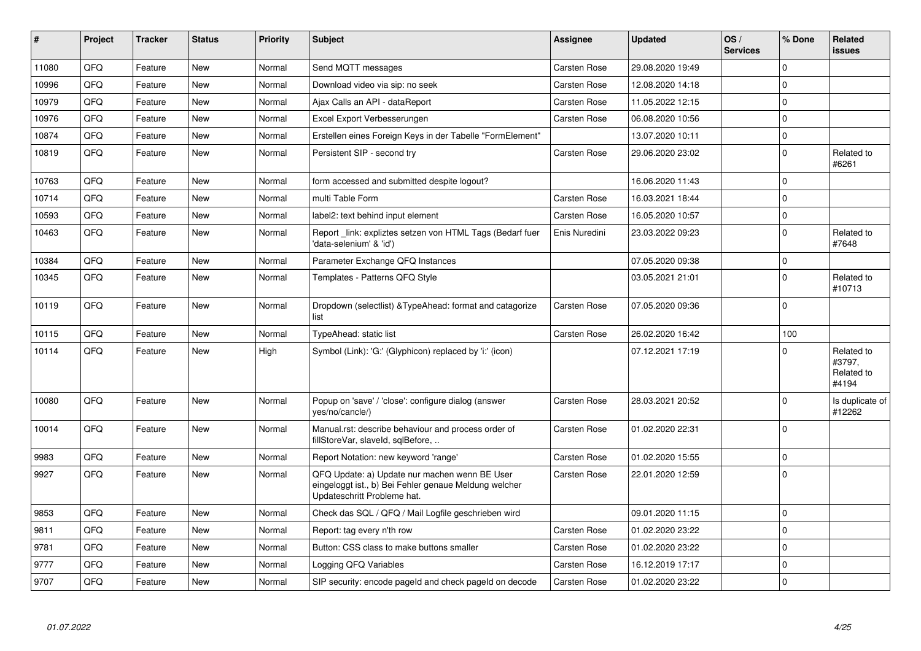| #     | Project | <b>Tracker</b> | <b>Status</b> | <b>Priority</b> | <b>Subject</b>                                                                                                                        | Assignee            | <b>Updated</b>   | OS/<br><b>Services</b> | % Done      | <b>Related</b><br><b>issues</b>             |
|-------|---------|----------------|---------------|-----------------|---------------------------------------------------------------------------------------------------------------------------------------|---------------------|------------------|------------------------|-------------|---------------------------------------------|
| 11080 | QFQ     | Feature        | <b>New</b>    | Normal          | Send MQTT messages                                                                                                                    | <b>Carsten Rose</b> | 29.08.2020 19:49 |                        | $\Omega$    |                                             |
| 10996 | QFQ     | Feature        | New           | Normal          | Download video via sip: no seek                                                                                                       | Carsten Rose        | 12.08.2020 14:18 |                        | $\Omega$    |                                             |
| 10979 | QFQ     | Feature        | <b>New</b>    | Normal          | Ajax Calls an API - dataReport                                                                                                        | <b>Carsten Rose</b> | 11.05.2022 12:15 |                        | 0           |                                             |
| 10976 | QFQ     | Feature        | <b>New</b>    | Normal          | Excel Export Verbesserungen                                                                                                           | <b>Carsten Rose</b> | 06.08.2020 10:56 |                        | $\mathbf 0$ |                                             |
| 10874 | QFQ     | Feature        | <b>New</b>    | Normal          | Erstellen eines Foreign Keys in der Tabelle "FormElement"                                                                             |                     | 13.07.2020 10:11 |                        | $\mathbf 0$ |                                             |
| 10819 | QFQ     | Feature        | <b>New</b>    | Normal          | Persistent SIP - second try                                                                                                           | Carsten Rose        | 29.06.2020 23:02 |                        | $\Omega$    | Related to<br>#6261                         |
| 10763 | QFQ     | Feature        | <b>New</b>    | Normal          | form accessed and submitted despite logout?                                                                                           |                     | 16.06.2020 11:43 |                        | $\Omega$    |                                             |
| 10714 | QFQ     | Feature        | <b>New</b>    | Normal          | multi Table Form                                                                                                                      | <b>Carsten Rose</b> | 16.03.2021 18:44 |                        | 0           |                                             |
| 10593 | QFQ     | Feature        | <b>New</b>    | Normal          | label2: text behind input element                                                                                                     | <b>Carsten Rose</b> | 16.05.2020 10:57 |                        | $\pmb{0}$   |                                             |
| 10463 | QFQ     | Feature        | New           | Normal          | Report _link: expliztes setzen von HTML Tags (Bedarf fuer<br>'data-selenium' & 'id')                                                  | Enis Nuredini       | 23.03.2022 09:23 |                        | $\mathbf 0$ | Related to<br>#7648                         |
| 10384 | QFQ     | Feature        | <b>New</b>    | Normal          | Parameter Exchange QFQ Instances                                                                                                      |                     | 07.05.2020 09:38 |                        | $\mathbf 0$ |                                             |
| 10345 | QFQ     | Feature        | <b>New</b>    | Normal          | Templates - Patterns QFQ Style                                                                                                        |                     | 03.05.2021 21:01 |                        | $\Omega$    | Related to<br>#10713                        |
| 10119 | QFQ     | Feature        | <b>New</b>    | Normal          | Dropdown (selectlist) & Type Ahead: format and catagorize<br>list                                                                     | <b>Carsten Rose</b> | 07.05.2020 09:36 |                        | $\mathbf 0$ |                                             |
| 10115 | QFQ     | Feature        | New           | Normal          | TypeAhead: static list                                                                                                                | <b>Carsten Rose</b> | 26.02.2020 16:42 |                        | 100         |                                             |
| 10114 | QFQ     | Feature        | New           | High            | Symbol (Link): 'G:' (Glyphicon) replaced by 'i:' (icon)                                                                               |                     | 07.12.2021 17:19 |                        | $\mathbf 0$ | Related to<br>#3797.<br>Related to<br>#4194 |
| 10080 | QFQ     | Feature        | <b>New</b>    | Normal          | Popup on 'save' / 'close': configure dialog (answer<br>yes/no/cancle/)                                                                | <b>Carsten Rose</b> | 28.03.2021 20:52 |                        | 0           | Is duplicate of<br>#12262                   |
| 10014 | QFQ     | Feature        | New           | Normal          | Manual.rst: describe behaviour and process order of<br>fillStoreVar, slaveId, sqlBefore,                                              | <b>Carsten Rose</b> | 01.02.2020 22:31 |                        | $\Omega$    |                                             |
| 9983  | QFQ     | Feature        | <b>New</b>    | Normal          | Report Notation: new keyword 'range'                                                                                                  | Carsten Rose        | 01.02.2020 15:55 |                        | 0           |                                             |
| 9927  | QFQ     | Feature        | New           | Normal          | QFQ Update: a) Update nur machen wenn BE User<br>eingeloggt ist., b) Bei Fehler genaue Meldung welcher<br>Updateschritt Probleme hat. | <b>Carsten Rose</b> | 22.01.2020 12:59 |                        | $\mathbf 0$ |                                             |
| 9853  | QFQ     | Feature        | <b>New</b>    | Normal          | Check das SQL / QFQ / Mail Logfile geschrieben wird                                                                                   |                     | 09.01.2020 11:15 |                        | 0           |                                             |
| 9811  | QFQ     | Feature        | New           | Normal          | Report: tag every n'th row                                                                                                            | <b>Carsten Rose</b> | 01.02.2020 23:22 |                        | $\mathbf 0$ |                                             |
| 9781  | QFQ     | Feature        | <b>New</b>    | Normal          | Button: CSS class to make buttons smaller                                                                                             | <b>Carsten Rose</b> | 01.02.2020 23:22 |                        | $\mathbf 0$ |                                             |
| 9777  | QFQ     | Feature        | <b>New</b>    | Normal          | Logging QFQ Variables                                                                                                                 | <b>Carsten Rose</b> | 16.12.2019 17:17 |                        | $\mathbf 0$ |                                             |
| 9707  | QFQ     | Feature        | New           | Normal          | SIP security: encode pageld and check pageld on decode                                                                                | <b>Carsten Rose</b> | 01.02.2020 23:22 |                        | $\mathbf 0$ |                                             |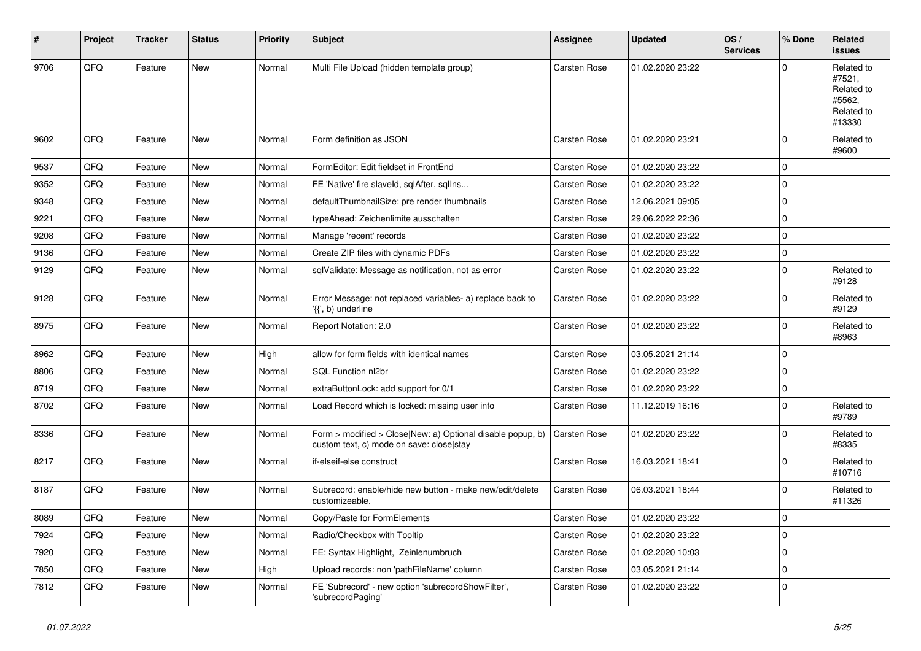| $\vert$ # | Project | <b>Tracker</b> | <b>Status</b> | <b>Priority</b> | <b>Subject</b>                                                                                         | <b>Assignee</b>     | <b>Updated</b>   | OS/<br><b>Services</b> | % Done       | Related<br><b>issues</b>                                             |
|-----------|---------|----------------|---------------|-----------------|--------------------------------------------------------------------------------------------------------|---------------------|------------------|------------------------|--------------|----------------------------------------------------------------------|
| 9706      | QFQ     | Feature        | New           | Normal          | Multi File Upload (hidden template group)                                                              | Carsten Rose        | 01.02.2020 23:22 |                        | $\Omega$     | Related to<br>#7521,<br>Related to<br>#5562,<br>Related to<br>#13330 |
| 9602      | QFQ     | Feature        | <b>New</b>    | Normal          | Form definition as JSON                                                                                | Carsten Rose        | 01.02.2020 23:21 |                        | $\mathbf 0$  | Related to<br>#9600                                                  |
| 9537      | QFQ     | Feature        | <b>New</b>    | Normal          | FormEditor: Edit fieldset in FrontEnd                                                                  | Carsten Rose        | 01.02.2020 23:22 |                        | 0            |                                                                      |
| 9352      | QFQ     | Feature        | <b>New</b>    | Normal          | FE 'Native' fire slaveld, sqlAfter, sqlIns                                                             | <b>Carsten Rose</b> | 01.02.2020 23:22 |                        | 0            |                                                                      |
| 9348      | QFQ     | Feature        | <b>New</b>    | Normal          | defaultThumbnailSize: pre render thumbnails                                                            | Carsten Rose        | 12.06.2021 09:05 |                        | 0            |                                                                      |
| 9221      | QFQ     | Feature        | <b>New</b>    | Normal          | typeAhead: Zeichenlimite ausschalten                                                                   | <b>Carsten Rose</b> | 29.06.2022 22:36 |                        | 0            |                                                                      |
| 9208      | QFQ     | Feature        | New           | Normal          | Manage 'recent' records                                                                                | <b>Carsten Rose</b> | 01.02.2020 23:22 |                        | 0            |                                                                      |
| 9136      | QFQ     | Feature        | New           | Normal          | Create ZIP files with dynamic PDFs                                                                     | Carsten Rose        | 01.02.2020 23:22 |                        | $\mathbf 0$  |                                                                      |
| 9129      | QFQ     | Feature        | <b>New</b>    | Normal          | sqlValidate: Message as notification, not as error                                                     | Carsten Rose        | 01.02.2020 23:22 |                        | $\mathbf 0$  | Related to<br>#9128                                                  |
| 9128      | QFQ     | Feature        | New           | Normal          | Error Message: not replaced variables- a) replace back to<br>'{{', b) underline                        | Carsten Rose        | 01.02.2020 23:22 |                        | $\mathbf 0$  | Related to<br>#9129                                                  |
| 8975      | QFQ     | Feature        | New           | Normal          | Report Notation: 2.0                                                                                   | Carsten Rose        | 01.02.2020 23:22 |                        | 0            | Related to<br>#8963                                                  |
| 8962      | QFQ     | Feature        | <b>New</b>    | High            | allow for form fields with identical names                                                             | <b>Carsten Rose</b> | 03.05.2021 21:14 |                        | 0            |                                                                      |
| 8806      | QFQ     | Feature        | <b>New</b>    | Normal          | SQL Function nl2br                                                                                     | Carsten Rose        | 01.02.2020 23:22 |                        | 0            |                                                                      |
| 8719      | QFQ     | Feature        | <b>New</b>    | Normal          | extraButtonLock: add support for 0/1                                                                   | <b>Carsten Rose</b> | 01.02.2020 23:22 |                        | 0            |                                                                      |
| 8702      | QFQ     | Feature        | New           | Normal          | Load Record which is locked: missing user info                                                         | Carsten Rose        | 11.12.2019 16:16 |                        | 0            | Related to<br>#9789                                                  |
| 8336      | QFQ     | Feature        | New           | Normal          | Form > modified > Close New: a) Optional disable popup, b)<br>custom text, c) mode on save: close stay | Carsten Rose        | 01.02.2020 23:22 |                        | $\mathbf 0$  | Related to<br>#8335                                                  |
| 8217      | QFQ     | Feature        | <b>New</b>    | Normal          | if-elseif-else construct                                                                               | Carsten Rose        | 16.03.2021 18:41 |                        | $\mathbf 0$  | Related to<br>#10716                                                 |
| 8187      | QFQ     | Feature        | New           | Normal          | Subrecord: enable/hide new button - make new/edit/delete<br>customizeable.                             | Carsten Rose        | 06.03.2021 18:44 |                        | 0            | Related to<br>#11326                                                 |
| 8089      | QFQ     | Feature        | New           | Normal          | Copy/Paste for FormElements                                                                            | Carsten Rose        | 01.02.2020 23:22 |                        | $\mathbf{0}$ |                                                                      |
| 7924      | QFQ     | Feature        | New           | Normal          | Radio/Checkbox with Tooltip                                                                            | Carsten Rose        | 01.02.2020 23:22 |                        | 0            |                                                                      |
| 7920      | QFQ     | Feature        | New           | Normal          | FE: Syntax Highlight, Zeinlenumbruch                                                                   | Carsten Rose        | 01.02.2020 10:03 |                        | $\mathbf 0$  |                                                                      |
| 7850      | QFQ     | Feature        | New           | High            | Upload records: non 'pathFileName' column                                                              | Carsten Rose        | 03.05.2021 21:14 |                        | $\mathbf 0$  |                                                                      |
| 7812      | QFQ     | Feature        | New           | Normal          | FE 'Subrecord' - new option 'subrecordShowFilter',<br>'subrecordPaging'                                | Carsten Rose        | 01.02.2020 23:22 |                        | 0            |                                                                      |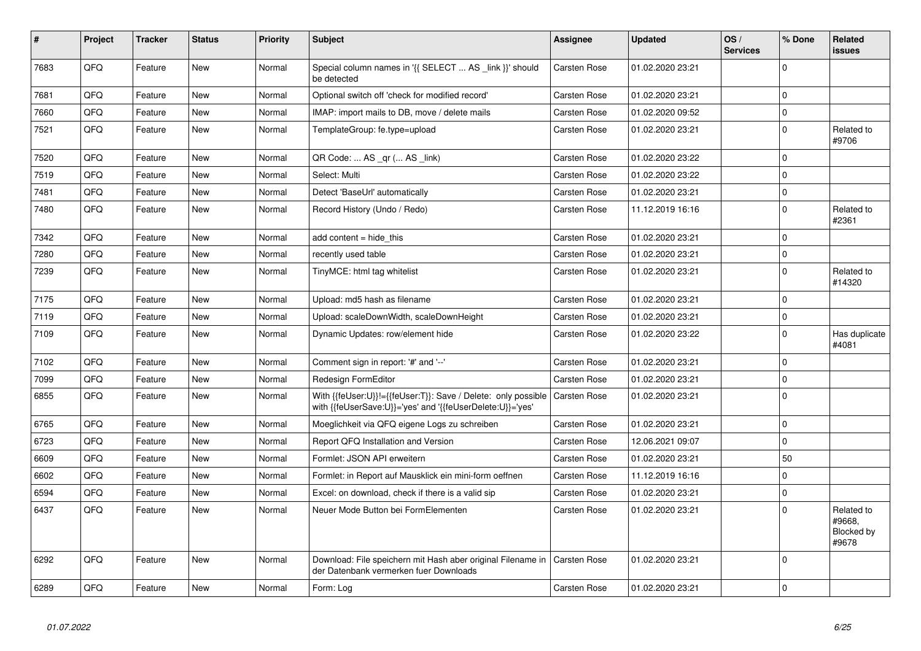| #    | Project | <b>Tracker</b> | <b>Status</b> | <b>Priority</b> | <b>Subject</b>                                                                                                             | Assignee            | <b>Updated</b>   | OS/<br><b>Services</b> | % Done       | <b>Related</b><br><b>issues</b>             |
|------|---------|----------------|---------------|-----------------|----------------------------------------------------------------------------------------------------------------------------|---------------------|------------------|------------------------|--------------|---------------------------------------------|
| 7683 | QFQ     | Feature        | <b>New</b>    | Normal          | Special column names in '{{ SELECT  AS _link }}' should<br>be detected                                                     | <b>Carsten Rose</b> | 01.02.2020 23:21 |                        | $\Omega$     |                                             |
| 7681 | QFQ     | Feature        | <b>New</b>    | Normal          | Optional switch off 'check for modified record'                                                                            | <b>Carsten Rose</b> | 01.02.2020 23:21 |                        | $\mathbf 0$  |                                             |
| 7660 | QFQ     | Feature        | New           | Normal          | IMAP: import mails to DB, move / delete mails                                                                              | Carsten Rose        | 01.02.2020 09:52 |                        | $\mathbf 0$  |                                             |
| 7521 | QFQ     | Feature        | New           | Normal          | TemplateGroup: fe.type=upload                                                                                              | Carsten Rose        | 01.02.2020 23:21 |                        | $\Omega$     | Related to<br>#9706                         |
| 7520 | QFQ     | Feature        | New           | Normal          | QR Code:  AS _qr ( AS _link)                                                                                               | <b>Carsten Rose</b> | 01.02.2020 23:22 |                        | $\Omega$     |                                             |
| 7519 | QFQ     | Feature        | New           | Normal          | Select: Multi                                                                                                              | Carsten Rose        | 01.02.2020 23:22 |                        | $\pmb{0}$    |                                             |
| 7481 | QFQ     | Feature        | New           | Normal          | Detect 'BaseUrl' automatically                                                                                             | <b>Carsten Rose</b> | 01.02.2020 23:21 |                        | $\pmb{0}$    |                                             |
| 7480 | QFQ     | Feature        | New           | Normal          | Record History (Undo / Redo)                                                                                               | Carsten Rose        | 11.12.2019 16:16 |                        | $\mathbf 0$  | Related to<br>#2361                         |
| 7342 | QFQ     | Feature        | <b>New</b>    | Normal          | add content = hide this                                                                                                    | <b>Carsten Rose</b> | 01.02.2020 23:21 |                        | $\mathbf 0$  |                                             |
| 7280 | QFQ     | Feature        | New           | Normal          | recently used table                                                                                                        | Carsten Rose        | 01.02.2020 23:21 |                        | $\mathbf{0}$ |                                             |
| 7239 | QFQ     | Feature        | New           | Normal          | TinyMCE: html tag whitelist                                                                                                | <b>Carsten Rose</b> | 01.02.2020 23:21 |                        | $\mathbf 0$  | Related to<br>#14320                        |
| 7175 | QFQ     | Feature        | <b>New</b>    | Normal          | Upload: md5 hash as filename                                                                                               | Carsten Rose        | 01.02.2020 23:21 |                        | $\mathbf 0$  |                                             |
| 7119 | QFQ     | Feature        | New           | Normal          | Upload: scaleDownWidth, scaleDownHeight                                                                                    | <b>Carsten Rose</b> | 01.02.2020 23:21 |                        | $\mathbf 0$  |                                             |
| 7109 | QFQ     | Feature        | New           | Normal          | Dynamic Updates: row/element hide                                                                                          | Carsten Rose        | 01.02.2020 23:22 |                        | $\mathbf 0$  | Has duplicate<br>#4081                      |
| 7102 | QFQ     | Feature        | <b>New</b>    | Normal          | Comment sign in report: '#' and '--'                                                                                       | <b>Carsten Rose</b> | 01.02.2020 23:21 |                        | $\mathbf 0$  |                                             |
| 7099 | QFQ     | Feature        | New           | Normal          | Redesign FormEditor                                                                                                        | <b>Carsten Rose</b> | 01.02.2020 23:21 |                        | $\mathbf 0$  |                                             |
| 6855 | QFQ     | Feature        | New           | Normal          | With {{feUser:U}}!={{feUser:T}}: Save / Delete: only possible<br>with {{feUserSave:U}}='yes' and '{{feUserDelete:U}}='yes' | <b>Carsten Rose</b> | 01.02.2020 23:21 |                        | $\Omega$     |                                             |
| 6765 | QFQ     | Feature        | <b>New</b>    | Normal          | Moeglichkeit via QFQ eigene Logs zu schreiben                                                                              | Carsten Rose        | 01.02.2020 23:21 |                        | $\mathbf 0$  |                                             |
| 6723 | QFQ     | Feature        | New           | Normal          | Report QFQ Installation and Version                                                                                        | <b>Carsten Rose</b> | 12.06.2021 09:07 |                        | $\mathbf 0$  |                                             |
| 6609 | QFQ     | Feature        | New           | Normal          | Formlet: JSON API erweitern                                                                                                | <b>Carsten Rose</b> | 01.02.2020 23:21 |                        | 50           |                                             |
| 6602 | QFQ     | Feature        | New           | Normal          | Formlet: in Report auf Mausklick ein mini-form oeffnen                                                                     | <b>Carsten Rose</b> | 11.12.2019 16:16 |                        | $\mathbf 0$  |                                             |
| 6594 | QFQ     | Feature        | New           | Normal          | Excel: on download, check if there is a valid sip                                                                          | Carsten Rose        | 01.02.2020 23:21 |                        | $\mathbf 0$  |                                             |
| 6437 | QFQ     | Feature        | <b>New</b>    | Normal          | Neuer Mode Button bei FormElementen                                                                                        | <b>Carsten Rose</b> | 01.02.2020 23:21 |                        | $\Omega$     | Related to<br>#9668,<br>Blocked by<br>#9678 |
| 6292 | QFQ     | Feature        | New           | Normal          | Download: File speichern mit Hash aber original Filename in   Carsten Rose<br>der Datenbank vermerken fuer Downloads       |                     | 01.02.2020 23:21 |                        | $\Omega$     |                                             |
| 6289 | QFQ     | Feature        | <b>New</b>    | Normal          | Form: Log                                                                                                                  | <b>Carsten Rose</b> | 01.02.2020 23:21 |                        | $\mathbf 0$  |                                             |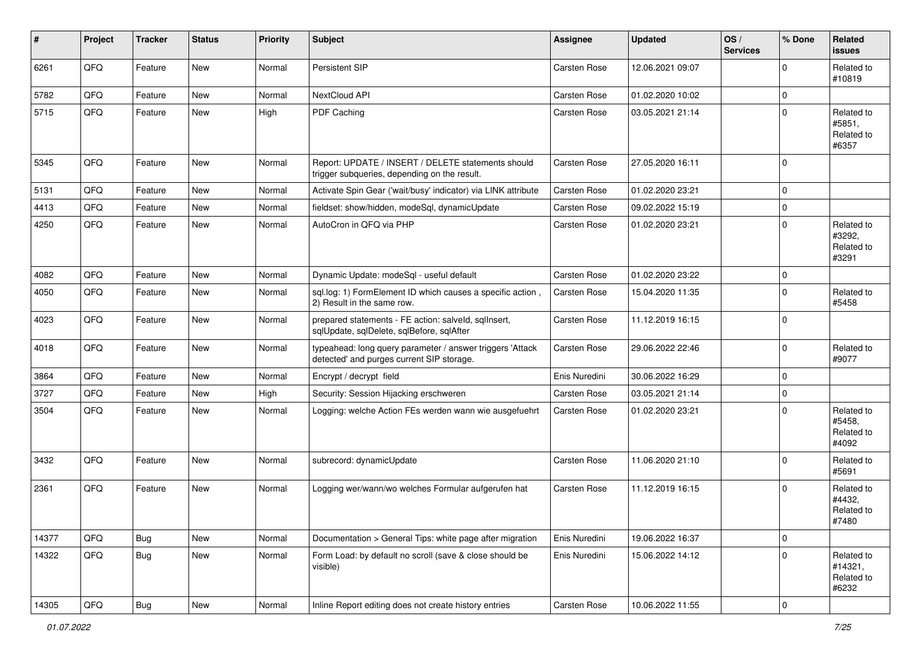| #     | Project | <b>Tracker</b> | <b>Status</b> | <b>Priority</b> | <b>Subject</b>                                                                                         | Assignee            | <b>Updated</b>   | OS/<br><b>Services</b> | % Done         | Related<br><b>issues</b>                     |
|-------|---------|----------------|---------------|-----------------|--------------------------------------------------------------------------------------------------------|---------------------|------------------|------------------------|----------------|----------------------------------------------|
| 6261  | QFQ     | Feature        | New           | Normal          | Persistent SIP                                                                                         | Carsten Rose        | 12.06.2021 09:07 |                        | $\Omega$       | Related to<br>#10819                         |
| 5782  | QFQ     | Feature        | New           | Normal          | NextCloud API                                                                                          | <b>Carsten Rose</b> | 01.02.2020 10:02 |                        | $\mathbf 0$    |                                              |
| 5715  | QFQ     | Feature        | New           | High            | PDF Caching                                                                                            | Carsten Rose        | 03.05.2021 21:14 |                        | $\mathbf 0$    | Related to<br>#5851,<br>Related to<br>#6357  |
| 5345  | QFQ     | Feature        | New           | Normal          | Report: UPDATE / INSERT / DELETE statements should<br>trigger subqueries, depending on the result.     | <b>Carsten Rose</b> | 27.05.2020 16:11 |                        | $\Omega$       |                                              |
| 5131  | QFQ     | Feature        | New           | Normal          | Activate Spin Gear ('wait/busy' indicator) via LINK attribute                                          | <b>Carsten Rose</b> | 01.02.2020 23:21 |                        | 0              |                                              |
| 4413  | QFQ     | Feature        | New           | Normal          | fieldset: show/hidden, modeSql, dynamicUpdate                                                          | Carsten Rose        | 09.02.2022 15:19 |                        | 0              |                                              |
| 4250  | QFQ     | Feature        | New           | Normal          | AutoCron in QFQ via PHP                                                                                | Carsten Rose        | 01.02.2020 23:21 |                        | $\mathbf 0$    | Related to<br>#3292,<br>Related to<br>#3291  |
| 4082  | QFQ     | Feature        | New           | Normal          | Dynamic Update: modeSql - useful default                                                               | <b>Carsten Rose</b> | 01.02.2020 23:22 |                        | 0              |                                              |
| 4050  | QFQ     | Feature        | New           | Normal          | sql.log: 1) FormElement ID which causes a specific action,<br>2) Result in the same row.               | Carsten Rose        | 15.04.2020 11:35 |                        | $\Omega$       | Related to<br>#5458                          |
| 4023  | QFQ     | Feature        | New           | Normal          | prepared statements - FE action: salveld, sqlInsert,<br>sqlUpdate, sqlDelete, sqlBefore, sqlAfter      | Carsten Rose        | 11.12.2019 16:15 |                        | $\mathbf 0$    |                                              |
| 4018  | QFQ     | Feature        | New           | Normal          | typeahead: long query parameter / answer triggers 'Attack<br>detected' and purges current SIP storage. | Carsten Rose        | 29.06.2022 22:46 |                        | $\mathbf 0$    | Related to<br>#9077                          |
| 3864  | QFQ     | Feature        | New           | Normal          | Encrypt / decrypt field                                                                                | Enis Nuredini       | 30.06.2022 16:29 |                        | $\mathbf 0$    |                                              |
| 3727  | QFQ     | Feature        | New           | High            | Security: Session Hijacking erschweren                                                                 | <b>Carsten Rose</b> | 03.05.2021 21:14 |                        | $\mathbf 0$    |                                              |
| 3504  | QFQ     | Feature        | New           | Normal          | Logging: welche Action FEs werden wann wie ausgefuehrt                                                 | <b>Carsten Rose</b> | 01.02.2020 23:21 |                        | $\mathbf 0$    | Related to<br>#5458,<br>Related to<br>#4092  |
| 3432  | QFQ     | Feature        | <b>New</b>    | Normal          | subrecord: dynamicUpdate                                                                               | Carsten Rose        | 11.06.2020 21:10 |                        | $\mathbf 0$    | Related to<br>#5691                          |
| 2361  | QFQ     | Feature        | New           | Normal          | Logging wer/wann/wo welches Formular aufgerufen hat                                                    | Carsten Rose        | 11.12.2019 16:15 |                        | $\mathbf 0$    | Related to<br>#4432,<br>Related to<br>#7480  |
| 14377 | QFQ     | Bug            | New           | Normal          | Documentation > General Tips: white page after migration                                               | Enis Nuredini       | 19.06.2022 16:37 |                        | $\mathbf 0$    |                                              |
| 14322 | QFQ     | Bug            | New           | Normal          | Form Load: by default no scroll (save & close should be<br>visible)                                    | Enis Nuredini       | 15.06.2022 14:12 |                        | $\mathbf 0$    | Related to<br>#14321,<br>Related to<br>#6232 |
| 14305 | QFQ     | <b>Bug</b>     | New           | Normal          | Inline Report editing does not create history entries                                                  | Carsten Rose        | 10.06.2022 11:55 |                        | $\overline{0}$ |                                              |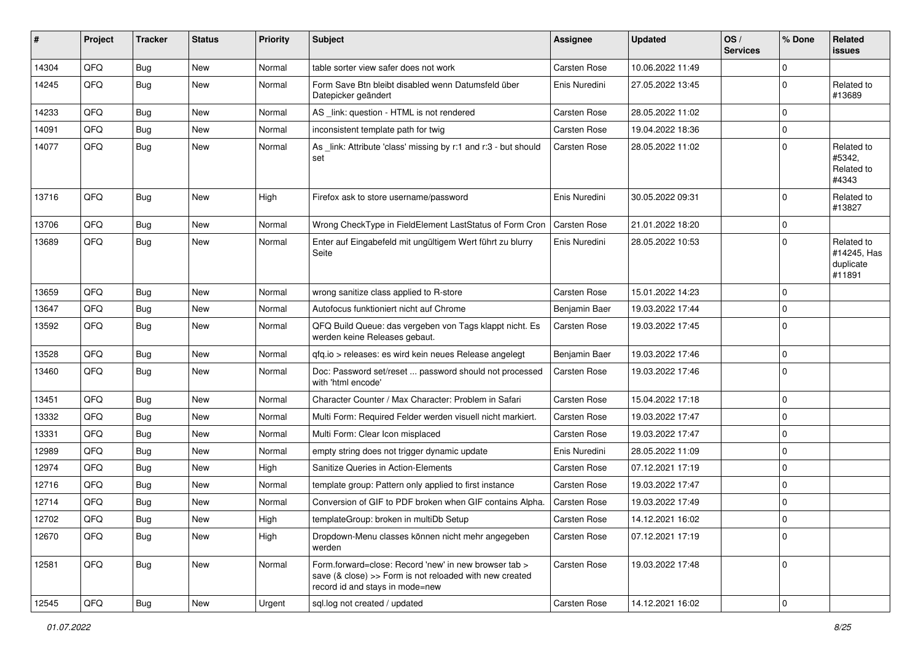| #     | Project | <b>Tracker</b> | <b>Status</b> | <b>Priority</b> | Subject                                                                                                                                             | <b>Assignee</b>     | <b>Updated</b>   | OS/<br><b>Services</b> | % Done         | Related<br><b>issues</b>                         |
|-------|---------|----------------|---------------|-----------------|-----------------------------------------------------------------------------------------------------------------------------------------------------|---------------------|------------------|------------------------|----------------|--------------------------------------------------|
| 14304 | QFQ     | <b>Bug</b>     | <b>New</b>    | Normal          | table sorter view safer does not work                                                                                                               | Carsten Rose        | 10.06.2022 11:49 |                        | $\Omega$       |                                                  |
| 14245 | QFQ     | <b>Bug</b>     | New           | Normal          | Form Save Btn bleibt disabled wenn Datumsfeld über<br>Datepicker geändert                                                                           | Enis Nuredini       | 27.05.2022 13:45 |                        | 0              | Related to<br>#13689                             |
| 14233 | QFQ     | <b>Bug</b>     | <b>New</b>    | Normal          | AS _link: question - HTML is not rendered                                                                                                           | Carsten Rose        | 28.05.2022 11:02 |                        | 0              |                                                  |
| 14091 | QFQ     | <b>Bug</b>     | New           | Normal          | inconsistent template path for twig                                                                                                                 | Carsten Rose        | 19.04.2022 18:36 |                        | 0              |                                                  |
| 14077 | QFQ     | <b>Bug</b>     | New           | Normal          | As link: Attribute 'class' missing by r:1 and r:3 - but should<br>set                                                                               | Carsten Rose        | 28.05.2022 11:02 |                        | 0              | Related to<br>#5342,<br>Related to<br>#4343      |
| 13716 | QFQ     | Bug            | New           | High            | Firefox ask to store username/password                                                                                                              | Enis Nuredini       | 30.05.2022 09:31 |                        | $\Omega$       | Related to<br>#13827                             |
| 13706 | QFQ     | Bug            | <b>New</b>    | Normal          | Wrong CheckType in FieldElement LastStatus of Form Cron                                                                                             | <b>Carsten Rose</b> | 21.01.2022 18:20 |                        | 0              |                                                  |
| 13689 | QFQ     | <b>Bug</b>     | New           | Normal          | Enter auf Eingabefeld mit ungültigem Wert führt zu blurry<br>Seite                                                                                  | Enis Nuredini       | 28.05.2022 10:53 |                        | 0              | Related to<br>#14245, Has<br>duplicate<br>#11891 |
| 13659 | QFQ     | <b>Bug</b>     | <b>New</b>    | Normal          | wrong sanitize class applied to R-store                                                                                                             | <b>Carsten Rose</b> | 15.01.2022 14:23 |                        | $\Omega$       |                                                  |
| 13647 | QFQ     | Bug            | New           | Normal          | Autofocus funktioniert nicht auf Chrome                                                                                                             | Benjamin Baer       | 19.03.2022 17:44 |                        | 0              |                                                  |
| 13592 | QFQ     | Bug            | New           | Normal          | QFQ Build Queue: das vergeben von Tags klappt nicht. Es<br>werden keine Releases gebaut.                                                            | Carsten Rose        | 19.03.2022 17:45 |                        | $\Omega$       |                                                  |
| 13528 | QFQ     | <b>Bug</b>     | New           | Normal          | qfq.io > releases: es wird kein neues Release angelegt                                                                                              | Benjamin Baer       | 19.03.2022 17:46 |                        | 0              |                                                  |
| 13460 | QFQ     | Bug            | New           | Normal          | Doc: Password set/reset  password should not processed<br>with 'html encode'                                                                        | Carsten Rose        | 19.03.2022 17:46 |                        | 0              |                                                  |
| 13451 | QFQ     | <b>Bug</b>     | <b>New</b>    | Normal          | Character Counter / Max Character: Problem in Safari                                                                                                | Carsten Rose        | 15.04.2022 17:18 |                        | 0              |                                                  |
| 13332 | QFQ     | <b>Bug</b>     | <b>New</b>    | Normal          | Multi Form: Required Felder werden visuell nicht markiert.                                                                                          | <b>Carsten Rose</b> | 19.03.2022 17:47 |                        | $\Omega$       |                                                  |
| 13331 | QFQ     | <b>Bug</b>     | New           | Normal          | Multi Form: Clear Icon misplaced                                                                                                                    | Carsten Rose        | 19.03.2022 17:47 |                        | 0              |                                                  |
| 12989 | QFQ     | <b>Bug</b>     | New           | Normal          | empty string does not trigger dynamic update                                                                                                        | Enis Nuredini       | 28.05.2022 11:09 |                        | $\Omega$       |                                                  |
| 12974 | QFQ     | <b>Bug</b>     | <b>New</b>    | High            | Sanitize Queries in Action-Elements                                                                                                                 | <b>Carsten Rose</b> | 07.12.2021 17:19 |                        | 0              |                                                  |
| 12716 | QFQ     | <b>Bug</b>     | New           | Normal          | template group: Pattern only applied to first instance                                                                                              | <b>Carsten Rose</b> | 19.03.2022 17:47 |                        | 0              |                                                  |
| 12714 | QFQ     | <b>Bug</b>     | New           | Normal          | Conversion of GIF to PDF broken when GIF contains Alpha.                                                                                            | <b>Carsten Rose</b> | 19.03.2022 17:49 |                        | 0              |                                                  |
| 12702 | QFQ     | Bug            | New           | High            | templateGroup: broken in multiDb Setup                                                                                                              | Carsten Rose        | 14.12.2021 16:02 |                        | $\Omega$       |                                                  |
| 12670 | QFQ     | Bug            | New           | High            | Dropdown-Menu classes können nicht mehr angegeben<br>werden                                                                                         | Carsten Rose        | 07.12.2021 17:19 |                        | $\overline{0}$ |                                                  |
| 12581 | QFQ     | <b>Bug</b>     | New           | Normal          | Form.forward=close: Record 'new' in new browser tab ><br>save (& close) >> Form is not reloaded with new created<br>record id and stays in mode=new | Carsten Rose        | 19.03.2022 17:48 |                        | 0              |                                                  |
| 12545 | QFQ     | <b>Bug</b>     | New           | Urgent          | sql.log not created / updated                                                                                                                       | Carsten Rose        | 14.12.2021 16:02 |                        | $\pmb{0}$      |                                                  |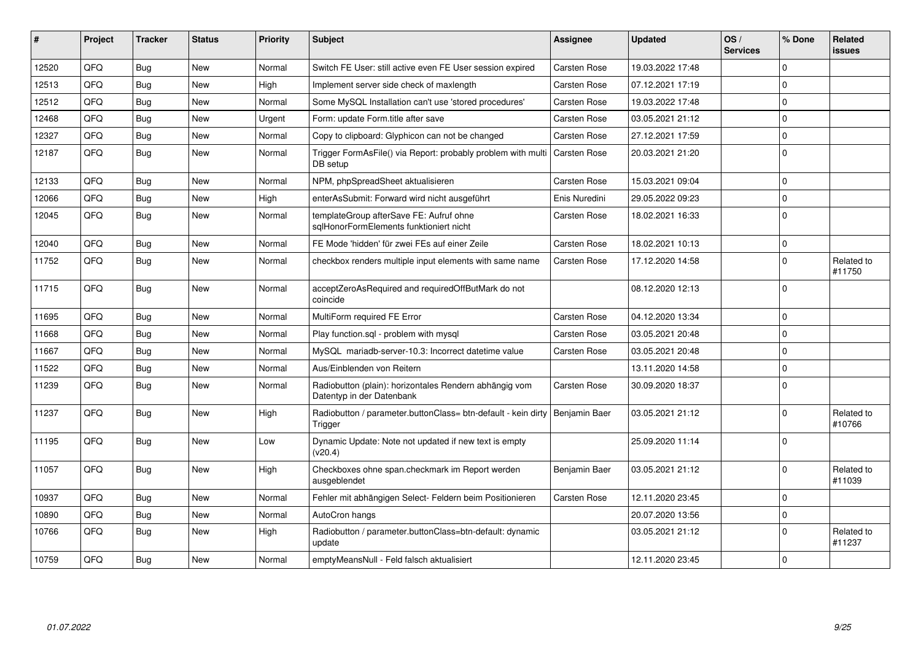| #     | Project | <b>Tracker</b> | <b>Status</b> | <b>Priority</b> | <b>Subject</b>                                                                      | <b>Assignee</b>     | <b>Updated</b>   | OS/<br><b>Services</b> | % Done      | <b>Related</b><br>issues |
|-------|---------|----------------|---------------|-----------------|-------------------------------------------------------------------------------------|---------------------|------------------|------------------------|-------------|--------------------------|
| 12520 | QFQ     | <b>Bug</b>     | <b>New</b>    | Normal          | Switch FE User: still active even FE User session expired                           | Carsten Rose        | 19.03.2022 17:48 |                        | $\Omega$    |                          |
| 12513 | QFQ     | <b>Bug</b>     | <b>New</b>    | High            | Implement server side check of maxlength                                            | Carsten Rose        | 07.12.2021 17:19 |                        | $\mathbf 0$ |                          |
| 12512 | QFQ     | <b>Bug</b>     | New           | Normal          | Some MySQL Installation can't use 'stored procedures'                               | Carsten Rose        | 19.03.2022 17:48 |                        | $\pmb{0}$   |                          |
| 12468 | QFQ     | Bug            | <b>New</b>    | Urgent          | Form: update Form.title after save                                                  | <b>Carsten Rose</b> | 03.05.2021 21:12 |                        | $\mathbf 0$ |                          |
| 12327 | QFQ     | <b>Bug</b>     | <b>New</b>    | Normal          | Copy to clipboard: Glyphicon can not be changed                                     | Carsten Rose        | 27.12.2021 17:59 |                        | $\mathbf 0$ |                          |
| 12187 | QFQ     | <b>Bug</b>     | <b>New</b>    | Normal          | Trigger FormAsFile() via Report: probably problem with multi<br>DB setup            | <b>Carsten Rose</b> | 20.03.2021 21:20 |                        | $\mathbf 0$ |                          |
| 12133 | QFQ     | <b>Bug</b>     | <b>New</b>    | Normal          | NPM, phpSpreadSheet aktualisieren                                                   | Carsten Rose        | 15.03.2021 09:04 |                        | $\pmb{0}$   |                          |
| 12066 | QFQ     | <b>Bug</b>     | <b>New</b>    | High            | enterAsSubmit: Forward wird nicht ausgeführt                                        | Enis Nuredini       | 29.05.2022 09:23 |                        | $\mathbf 0$ |                          |
| 12045 | QFQ     | <b>Bug</b>     | <b>New</b>    | Normal          | templateGroup afterSave FE: Aufruf ohne<br>sglHonorFormElements funktioniert nicht  | Carsten Rose        | 18.02.2021 16:33 |                        | $\mathbf 0$ |                          |
| 12040 | QFQ     | <b>Bug</b>     | <b>New</b>    | Normal          | FE Mode 'hidden' für zwei FEs auf einer Zeile                                       | Carsten Rose        | 18.02.2021 10:13 |                        | $\mathbf 0$ |                          |
| 11752 | QFQ     | <b>Bug</b>     | <b>New</b>    | Normal          | checkbox renders multiple input elements with same name                             | Carsten Rose        | 17.12.2020 14:58 |                        | 0           | Related to<br>#11750     |
| 11715 | QFQ     | <b>Bug</b>     | <b>New</b>    | Normal          | acceptZeroAsRequired and requiredOffButMark do not<br>coincide                      |                     | 08.12.2020 12:13 |                        | $\mathbf 0$ |                          |
| 11695 | QFQ     | Bug            | <b>New</b>    | Normal          | MultiForm required FE Error                                                         | Carsten Rose        | 04.12.2020 13:34 |                        | $\mathbf 0$ |                          |
| 11668 | QFQ     | <b>Bug</b>     | <b>New</b>    | Normal          | Play function.sgl - problem with mysgl                                              | Carsten Rose        | 03.05.2021 20:48 |                        | $\mathbf 0$ |                          |
| 11667 | QFQ     | Bug            | <b>New</b>    | Normal          | MySQL mariadb-server-10.3: Incorrect datetime value                                 | Carsten Rose        | 03.05.2021 20:48 |                        | 0           |                          |
| 11522 | QFQ     | <b>Bug</b>     | <b>New</b>    | Normal          | Aus/Einblenden von Reitern                                                          |                     | 13.11.2020 14:58 |                        | $\pmb{0}$   |                          |
| 11239 | QFQ     | <b>Bug</b>     | <b>New</b>    | Normal          | Radiobutton (plain): horizontales Rendern abhängig vom<br>Datentyp in der Datenbank | Carsten Rose        | 30.09.2020 18:37 |                        | $\Omega$    |                          |
| 11237 | QFQ     | Bug            | <b>New</b>    | High            | Radiobutton / parameter.buttonClass= btn-default - kein dirty<br>Trigger            | Benjamin Baer       | 03.05.2021 21:12 |                        | $\mathbf 0$ | Related to<br>#10766     |
| 11195 | QFQ     | <b>Bug</b>     | <b>New</b>    | Low             | Dynamic Update: Note not updated if new text is empty<br>(v20.4)                    |                     | 25.09.2020 11:14 |                        | $\Omega$    |                          |
| 11057 | QFQ     | Bug            | <b>New</b>    | High            | Checkboxes ohne span.checkmark im Report werden<br>ausgeblendet                     | Benjamin Baer       | 03.05.2021 21:12 |                        | $\Omega$    | Related to<br>#11039     |
| 10937 | QFQ     | <b>Bug</b>     | <b>New</b>    | Normal          | Fehler mit abhängigen Select- Feldern beim Positionieren                            | Carsten Rose        | 12.11.2020 23:45 |                        | $\mathbf 0$ |                          |
| 10890 | QFQ     | <b>Bug</b>     | <b>New</b>    | Normal          | AutoCron hangs                                                                      |                     | 20.07.2020 13:56 |                        | $\pmb{0}$   |                          |
| 10766 | QFQ     | <b>Bug</b>     | New           | High            | Radiobutton / parameter.buttonClass=btn-default: dynamic<br>update                  |                     | 03.05.2021 21:12 |                        | $\mathbf 0$ | Related to<br>#11237     |
| 10759 | QFQ     | Bug            | <b>New</b>    | Normal          | emptyMeansNull - Feld falsch aktualisiert                                           |                     | 12.11.2020 23:45 |                        | $\mathbf 0$ |                          |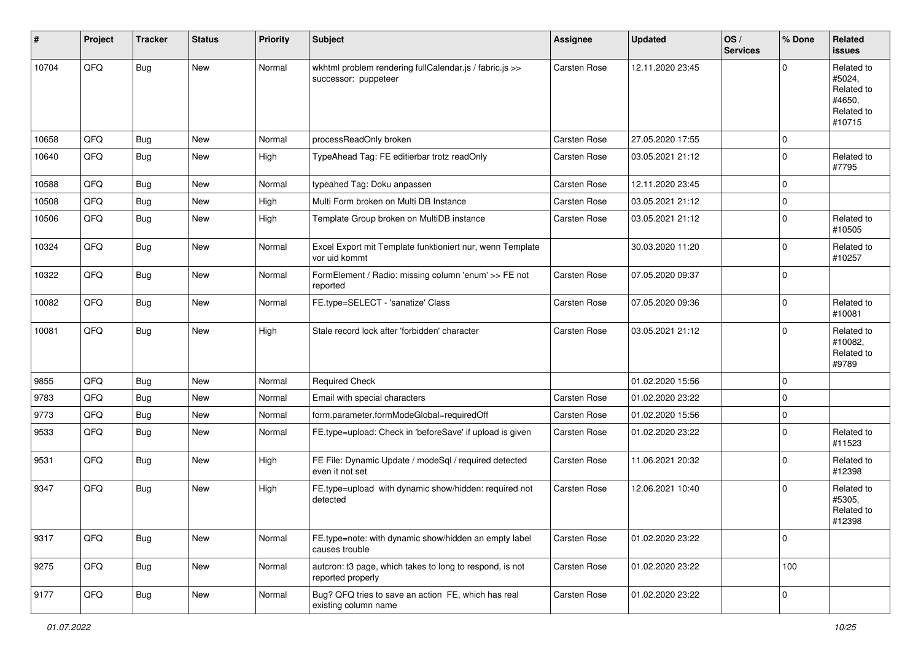| #     | Project | <b>Tracker</b> | <b>Status</b> | <b>Priority</b> | <b>Subject</b>                                                                  | <b>Assignee</b>     | <b>Updated</b>   | OS/<br><b>Services</b> | % Done              | Related<br><b>issues</b>                                             |
|-------|---------|----------------|---------------|-----------------|---------------------------------------------------------------------------------|---------------------|------------------|------------------------|---------------------|----------------------------------------------------------------------|
| 10704 | QFQ     | Bug            | New           | Normal          | wkhtml problem rendering fullCalendar.js / fabric.js >><br>successor: puppeteer | Carsten Rose        | 12.11.2020 23:45 |                        | $\Omega$            | Related to<br>#5024,<br>Related to<br>#4650.<br>Related to<br>#10715 |
| 10658 | QFQ     | <b>Bug</b>     | New           | Normal          | processReadOnly broken                                                          | Carsten Rose        | 27.05.2020 17:55 |                        | $\mathbf 0$         |                                                                      |
| 10640 | QFQ     | Bug            | New           | High            | TypeAhead Tag: FE editierbar trotz readOnly                                     | Carsten Rose        | 03.05.2021 21:12 |                        | $\mathbf 0$         | Related to<br>#7795                                                  |
| 10588 | QFQ     | <b>Bug</b>     | New           | Normal          | typeahed Tag: Doku anpassen                                                     | Carsten Rose        | 12.11.2020 23:45 |                        | $\mathbf 0$         |                                                                      |
| 10508 | QFQ     | <b>Bug</b>     | New           | High            | Multi Form broken on Multi DB Instance                                          | Carsten Rose        | 03.05.2021 21:12 |                        | $\mathbf 0$         |                                                                      |
| 10506 | QFQ     | <b>Bug</b>     | New           | High            | Template Group broken on MultiDB instance                                       | Carsten Rose        | 03.05.2021 21:12 |                        | $\mathbf 0$         | Related to<br>#10505                                                 |
| 10324 | QFQ     | Bug            | New           | Normal          | Excel Export mit Template funktioniert nur, wenn Template<br>vor uid kommt      |                     | 30.03.2020 11:20 |                        | $\mathbf 0$         | Related to<br>#10257                                                 |
| 10322 | QFQ     | Bug            | New           | Normal          | FormElement / Radio: missing column 'enum' >> FE not<br>reported                | Carsten Rose        | 07.05.2020 09:37 |                        | $\mathbf 0$         |                                                                      |
| 10082 | QFQ     | Bug            | New           | Normal          | FE.type=SELECT - 'sanatize' Class                                               | Carsten Rose        | 07.05.2020 09:36 |                        | $\overline{0}$      | Related to<br>#10081                                                 |
| 10081 | QFQ     | Bug            | New           | High            | Stale record lock after 'forbidden' character                                   | Carsten Rose        | 03.05.2021 21:12 |                        | $\mathbf 0$         | Related to<br>#10082,<br>Related to<br>#9789                         |
| 9855  | QFQ     | Bug            | New           | Normal          | <b>Required Check</b>                                                           |                     | 01.02.2020 15:56 |                        | $\mathbf 0$         |                                                                      |
| 9783  | QFQ     | <b>Bug</b>     | New           | Normal          | Email with special characters                                                   | Carsten Rose        | 01.02.2020 23:22 |                        | $\mathbf 0$         |                                                                      |
| 9773  | QFQ     | <b>Bug</b>     | New           | Normal          | form.parameter.formModeGlobal=requiredOff                                       | Carsten Rose        | 01.02.2020 15:56 |                        | $\mathbf 0$         |                                                                      |
| 9533  | QFQ     | Bug            | New           | Normal          | FE.type=upload: Check in 'beforeSave' if upload is given                        | Carsten Rose        | 01.02.2020 23:22 |                        | $\mathbf 0$         | Related to<br>#11523                                                 |
| 9531  | QFQ     | Bug            | New           | High            | FE File: Dynamic Update / modeSql / required detected<br>even it not set        | Carsten Rose        | 11.06.2021 20:32 |                        | $\overline{0}$      | Related to<br>#12398                                                 |
| 9347  | QFQ     | <b>Bug</b>     | New           | High            | FE.type=upload with dynamic show/hidden: required not<br>detected               | <b>Carsten Rose</b> | 12.06.2021 10:40 |                        | $\mathbf 0$         | Related to<br>#5305.<br>Related to<br>#12398                         |
| 9317  | QFQ     | <b>Bug</b>     | New           | Normal          | FE.type=note: with dynamic show/hidden an empty label<br>causes trouble         | Carsten Rose        | 01.02.2020 23:22 |                        | $\overline{0}$      |                                                                      |
| 9275  | QFQ     | Bug            | New           | Normal          | autcron: t3 page, which takes to long to respond, is not<br>reported properly   | Carsten Rose        | 01.02.2020 23:22 |                        | 100                 |                                                                      |
| 9177  | QFQ     | Bug            | New           | Normal          | Bug? QFQ tries to save an action FE, which has real<br>existing column name     | Carsten Rose        | 01.02.2020 23:22 |                        | $\mathsf{O}\xspace$ |                                                                      |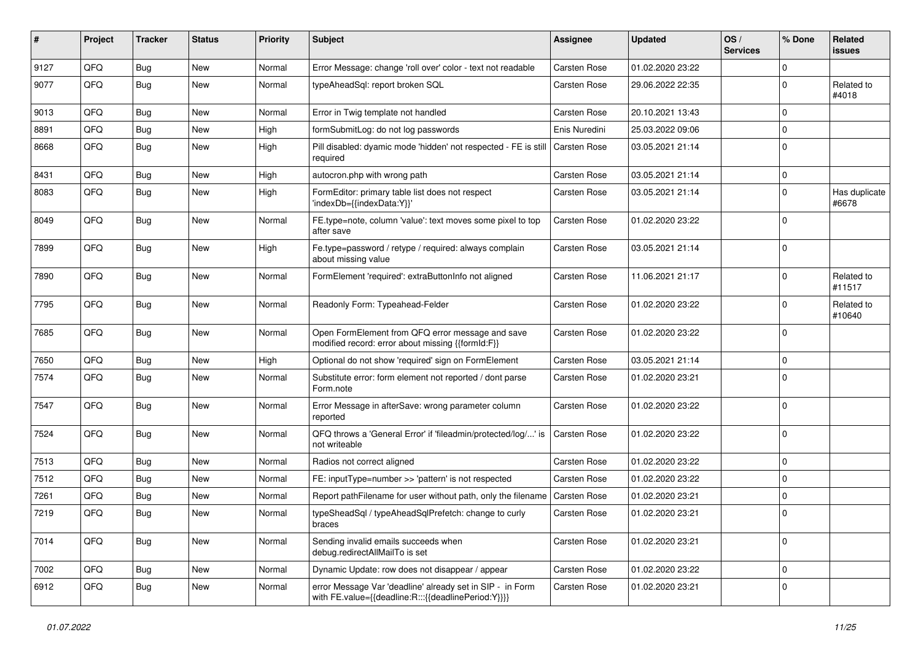| #    | Project | <b>Tracker</b> | <b>Status</b> | <b>Priority</b> | <b>Subject</b>                                                                                                   | <b>Assignee</b>     | <b>Updated</b>   | OS/<br><b>Services</b> | % Done      | Related<br>issues      |
|------|---------|----------------|---------------|-----------------|------------------------------------------------------------------------------------------------------------------|---------------------|------------------|------------------------|-------------|------------------------|
| 9127 | QFQ     | <b>Bug</b>     | <b>New</b>    | Normal          | Error Message: change 'roll over' color - text not readable                                                      | <b>Carsten Rose</b> | 01.02.2020 23:22 |                        | $\mathbf 0$ |                        |
| 9077 | QFQ     | <b>Bug</b>     | New           | Normal          | typeAheadSql: report broken SQL                                                                                  | Carsten Rose        | 29.06.2022 22:35 |                        | $\mathbf 0$ | Related to<br>#4018    |
| 9013 | QFQ     | <b>Bug</b>     | New           | Normal          | Error in Twig template not handled                                                                               | Carsten Rose        | 20.10.2021 13:43 |                        | $\mathbf 0$ |                        |
| 8891 | QFQ     | <b>Bug</b>     | New           | High            | formSubmitLog: do not log passwords                                                                              | Enis Nuredini       | 25.03.2022 09:06 |                        | $\mathbf 0$ |                        |
| 8668 | QFQ     | <b>Bug</b>     | New           | High            | Pill disabled: dyamic mode 'hidden' not respected - FE is still<br>required                                      | l Carsten Rose      | 03.05.2021 21:14 |                        | $\mathbf 0$ |                        |
| 8431 | QFQ     | <b>Bug</b>     | <b>New</b>    | High            | autocron.php with wrong path                                                                                     | Carsten Rose        | 03.05.2021 21:14 |                        | 0           |                        |
| 8083 | QFQ     | <b>Bug</b>     | <b>New</b>    | High            | FormEditor: primary table list does not respect<br>'indexDb={{indexData:Y}}'                                     | Carsten Rose        | 03.05.2021 21:14 |                        | $\mathbf 0$ | Has duplicate<br>#6678 |
| 8049 | QFQ     | <b>Bug</b>     | <b>New</b>    | Normal          | FE.type=note, column 'value': text moves some pixel to top<br>after save                                         | Carsten Rose        | 01.02.2020 23:22 |                        | $\mathbf 0$ |                        |
| 7899 | QFQ     | Bug            | <b>New</b>    | High            | Fe.type=password / retype / required: always complain<br>about missing value                                     | <b>Carsten Rose</b> | 03.05.2021 21:14 |                        | $\mathbf 0$ |                        |
| 7890 | QFQ     | <b>Bug</b>     | New           | Normal          | FormElement 'required': extraButtonInfo not aligned                                                              | Carsten Rose        | 11.06.2021 21:17 |                        | $\mathbf 0$ | Related to<br>#11517   |
| 7795 | QFQ     | Bug            | <b>New</b>    | Normal          | Readonly Form: Typeahead-Felder                                                                                  | <b>Carsten Rose</b> | 01.02.2020 23:22 |                        | $\mathbf 0$ | Related to<br>#10640   |
| 7685 | QFQ     | Bug            | New           | Normal          | Open FormElement from QFQ error message and save<br>modified record: error about missing {{formId:F}}            | <b>Carsten Rose</b> | 01.02.2020 23:22 |                        | $\mathbf 0$ |                        |
| 7650 | QFQ     | <b>Bug</b>     | New           | High            | Optional do not show 'required' sign on FormElement                                                              | <b>Carsten Rose</b> | 03.05.2021 21:14 |                        | $\mathbf 0$ |                        |
| 7574 | QFQ     | <b>Bug</b>     | New           | Normal          | Substitute error: form element not reported / dont parse<br>Form.note                                            | Carsten Rose        | 01.02.2020 23:21 |                        | $\mathbf 0$ |                        |
| 7547 | QFQ     | Bug            | <b>New</b>    | Normal          | Error Message in afterSave: wrong parameter column<br>reported                                                   | Carsten Rose        | 01.02.2020 23:22 |                        | $\mathbf 0$ |                        |
| 7524 | QFQ     | <b>Bug</b>     | New           | Normal          | QFQ throws a 'General Error' if 'fileadmin/protected/log/' is<br>not writeable                                   | Carsten Rose        | 01.02.2020 23:22 |                        | $\mathbf 0$ |                        |
| 7513 | QFQ     | <b>Bug</b>     | <b>New</b>    | Normal          | Radios not correct aligned                                                                                       | Carsten Rose        | 01.02.2020 23:22 |                        | $\mathbf 0$ |                        |
| 7512 | QFQ     | <b>Bug</b>     | New           | Normal          | FE: inputType=number >> 'pattern' is not respected                                                               | Carsten Rose        | 01.02.2020 23:22 |                        | 0           |                        |
| 7261 | QFQ     | <b>Bug</b>     | <b>New</b>    | Normal          | Report pathFilename for user without path, only the filename                                                     | <b>Carsten Rose</b> | 01.02.2020 23:21 |                        | $\mathbf 0$ |                        |
| 7219 | QFQ     | <b>Bug</b>     | New           | Normal          | typeSheadSql / typeAheadSqlPrefetch: change to curly<br>braces                                                   | Carsten Rose        | 01.02.2020 23:21 |                        | $\mathbf 0$ |                        |
| 7014 | QFQ     | <b>Bug</b>     | New           | Normal          | Sending invalid emails succeeds when<br>debug.redirectAllMailTo is set                                           | Carsten Rose        | 01.02.2020 23:21 |                        | 0           |                        |
| 7002 | QFQ     | <b>Bug</b>     | New           | Normal          | Dynamic Update: row does not disappear / appear                                                                  | Carsten Rose        | 01.02.2020 23:22 |                        | $\mathbf 0$ |                        |
| 6912 | QFQ     | Bug            | New           | Normal          | error Message Var 'deadline' already set in SIP - in Form<br>with FE.value={{deadline:R:::{{deadlinePeriod:Y}}}} | Carsten Rose        | 01.02.2020 23:21 |                        | $\mathbf 0$ |                        |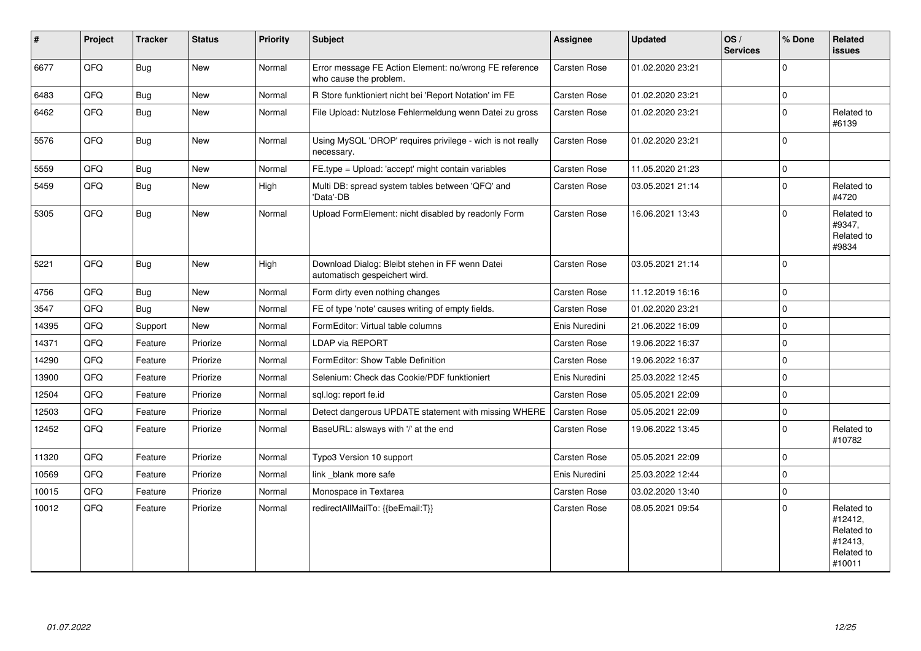| $\vert$ # | Project | <b>Tracker</b> | <b>Status</b> | <b>Priority</b> | <b>Subject</b>                                                                   | <b>Assignee</b>     | <b>Updated</b>   | OS/<br><b>Services</b> | % Done              | Related<br><b>issues</b>                                               |
|-----------|---------|----------------|---------------|-----------------|----------------------------------------------------------------------------------|---------------------|------------------|------------------------|---------------------|------------------------------------------------------------------------|
| 6677      | QFQ     | <b>Bug</b>     | <b>New</b>    | Normal          | Error message FE Action Element: no/wrong FE reference<br>who cause the problem. | <b>Carsten Rose</b> | 01.02.2020 23:21 |                        | $\Omega$            |                                                                        |
| 6483      | QFQ     | Bug            | <b>New</b>    | Normal          | R Store funktioniert nicht bei 'Report Notation' im FE                           | Carsten Rose        | 01.02.2020 23:21 |                        | $\mathbf 0$         |                                                                        |
| 6462      | QFQ     | Bug            | New           | Normal          | File Upload: Nutzlose Fehlermeldung wenn Datei zu gross                          | Carsten Rose        | 01.02.2020 23:21 |                        | $\mathbf 0$         | Related to<br>#6139                                                    |
| 5576      | QFQ     | Bug            | <b>New</b>    | Normal          | Using MySQL 'DROP' requires privilege - wich is not really<br>necessary.         | <b>Carsten Rose</b> | 01.02.2020 23:21 |                        | $\mathbf 0$         |                                                                        |
| 5559      | QFQ     | <b>Bug</b>     | New           | Normal          | FE.type = Upload: 'accept' might contain variables                               | Carsten Rose        | 11.05.2020 21:23 |                        | $\mathbf{0}$        |                                                                        |
| 5459      | QFQ     | Bug            | <b>New</b>    | High            | Multi DB: spread system tables between 'QFQ' and<br>'Data'-DB                    | Carsten Rose        | 03.05.2021 21:14 |                        | $\Omega$            | Related to<br>#4720                                                    |
| 5305      | QFQ     | Bug            | New           | Normal          | Upload FormElement: nicht disabled by readonly Form                              | Carsten Rose        | 16.06.2021 13:43 |                        | $\Omega$            | Related to<br>#9347,<br>Related to<br>#9834                            |
| 5221      | QFQ     | <b>Bug</b>     | <b>New</b>    | High            | Download Dialog: Bleibt stehen in FF wenn Datei<br>automatisch gespeichert wird. | Carsten Rose        | 03.05.2021 21:14 |                        | $\mathbf 0$         |                                                                        |
| 4756      | QFQ     | <b>Bug</b>     | <b>New</b>    | Normal          | Form dirty even nothing changes                                                  | Carsten Rose        | 11.12.2019 16:16 |                        | $\mathbf 0$         |                                                                        |
| 3547      | QFQ     | Bug            | <b>New</b>    | Normal          | FE of type 'note' causes writing of empty fields.                                | <b>Carsten Rose</b> | 01.02.2020 23:21 |                        | $\mathbf{0}$        |                                                                        |
| 14395     | QFQ     | Support        | New           | Normal          | FormEditor: Virtual table columns                                                | Enis Nuredini       | 21.06.2022 16:09 |                        | $\mathbf 0$         |                                                                        |
| 14371     | QFQ     | Feature        | Priorize      | Normal          | <b>LDAP via REPORT</b>                                                           | <b>Carsten Rose</b> | 19.06.2022 16:37 |                        | $\mathbf 0$         |                                                                        |
| 14290     | QFQ     | Feature        | Priorize      | Normal          | FormEditor: Show Table Definition                                                | <b>Carsten Rose</b> | 19.06.2022 16:37 |                        | $\Omega$            |                                                                        |
| 13900     | QFQ     | Feature        | Priorize      | Normal          | Selenium: Check das Cookie/PDF funktioniert                                      | Enis Nuredini       | 25.03.2022 12:45 |                        | $\mathbf 0$         |                                                                        |
| 12504     | QFQ     | Feature        | Priorize      | Normal          | sql.log: report fe.id                                                            | Carsten Rose        | 05.05.2021 22:09 |                        | $\mathbf 0$         |                                                                        |
| 12503     | QFQ     | Feature        | Priorize      | Normal          | Detect dangerous UPDATE statement with missing WHERE                             | Carsten Rose        | 05.05.2021 22:09 |                        | $\mathbf{0}$        |                                                                        |
| 12452     | QFQ     | Feature        | Priorize      | Normal          | BaseURL: alsways with '/' at the end                                             | <b>Carsten Rose</b> | 19.06.2022 13:45 |                        | $\mathbf{0}$        | Related to<br>#10782                                                   |
| 11320     | QFQ     | Feature        | Priorize      | Normal          | Typo3 Version 10 support                                                         | Carsten Rose        | 05.05.2021 22:09 |                        | $\mathbf{0}$        |                                                                        |
| 10569     | QFQ     | Feature        | Priorize      | Normal          | link blank more safe                                                             | Enis Nuredini       | 25.03.2022 12:44 |                        | $\mathbf 0$         |                                                                        |
| 10015     | QFQ     | Feature        | Priorize      | Normal          | Monospace in Textarea                                                            | Carsten Rose        | 03.02.2020 13:40 |                        | $\mathsf{O}\xspace$ |                                                                        |
| 10012     | QFQ     | Feature        | Priorize      | Normal          | redirectAllMailTo: {{beEmail:T}}                                                 | <b>Carsten Rose</b> | 08.05.2021 09:54 |                        | $\Omega$            | Related to<br>#12412,<br>Related to<br>#12413,<br>Related to<br>#10011 |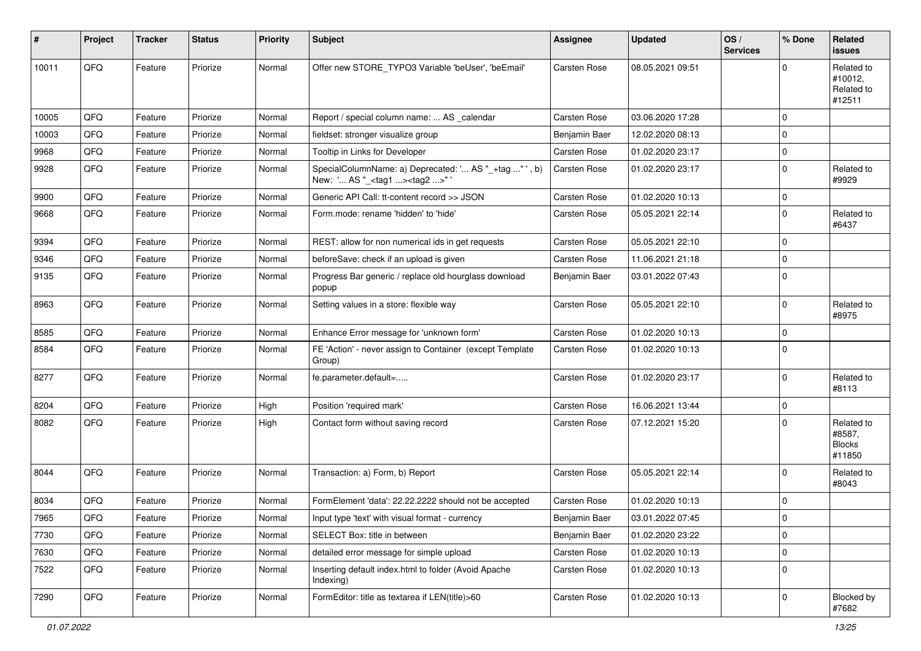| #     | Project | <b>Tracker</b> | <b>Status</b> | <b>Priority</b> | Subject                                                                                          | <b>Assignee</b>     | <b>Updated</b>   | OS/<br><b>Services</b> | % Done       | Related<br>issues                               |
|-------|---------|----------------|---------------|-----------------|--------------------------------------------------------------------------------------------------|---------------------|------------------|------------------------|--------------|-------------------------------------------------|
| 10011 | QFQ     | Feature        | Priorize      | Normal          | Offer new STORE_TYPO3 Variable 'beUser', 'beEmail'                                               | <b>Carsten Rose</b> | 08.05.2021 09:51 |                        | $\Omega$     | Related to<br>#10012,<br>Related to<br>#12511   |
| 10005 | QFQ     | Feature        | Priorize      | Normal          | Report / special column name:  AS _calendar                                                      | <b>Carsten Rose</b> | 03.06.2020 17:28 |                        | $\Omega$     |                                                 |
| 10003 | QFQ     | Feature        | Priorize      | Normal          | fieldset: stronger visualize group                                                               | Benjamin Baer       | 12.02.2020 08:13 |                        | $\mathbf 0$  |                                                 |
| 9968  | QFQ     | Feature        | Priorize      | Normal          | Tooltip in Links for Developer                                                                   | <b>Carsten Rose</b> | 01.02.2020 23:17 |                        | 0            |                                                 |
| 9928  | QFQ     | Feature        | Priorize      | Normal          | SpecialColumnName: a) Deprecated: ' AS "_+tag "', b)<br>New: ' AS "_ <tag1><tag2>"</tag2></tag1> | Carsten Rose        | 01.02.2020 23:17 |                        | $\mathbf 0$  | Related to<br>#9929                             |
| 9900  | QFQ     | Feature        | Priorize      | Normal          | Generic API Call: tt-content record >> JSON                                                      | <b>Carsten Rose</b> | 01.02.2020 10:13 |                        | 0            |                                                 |
| 9668  | QFQ     | Feature        | Priorize      | Normal          | Form.mode: rename 'hidden' to 'hide'                                                             | <b>Carsten Rose</b> | 05.05.2021 22:14 |                        | $\mathbf 0$  | Related to<br>#6437                             |
| 9394  | QFQ     | Feature        | Priorize      | Normal          | REST: allow for non numerical ids in get requests                                                | <b>Carsten Rose</b> | 05.05.2021 22:10 |                        | $\mathbf 0$  |                                                 |
| 9346  | QFQ     | Feature        | Priorize      | Normal          | beforeSave: check if an upload is given                                                          | Carsten Rose        | 11.06.2021 21:18 |                        | $\mathbf 0$  |                                                 |
| 9135  | QFQ     | Feature        | Priorize      | Normal          | Progress Bar generic / replace old hourglass download<br>popup                                   | Benjamin Baer       | 03.01.2022 07:43 |                        | $\mathbf{0}$ |                                                 |
| 8963  | QFQ     | Feature        | Priorize      | Normal          | Setting values in a store: flexible way                                                          | Carsten Rose        | 05.05.2021 22:10 |                        | $\Omega$     | Related to<br>#8975                             |
| 8585  | QFQ     | Feature        | Priorize      | Normal          | Enhance Error message for 'unknown form'                                                         | <b>Carsten Rose</b> | 01.02.2020 10:13 |                        | $\Omega$     |                                                 |
| 8584  | QFQ     | Feature        | Priorize      | Normal          | FE 'Action' - never assign to Container (except Template<br>Group)                               | <b>Carsten Rose</b> | 01.02.2020 10:13 |                        | $\Omega$     |                                                 |
| 8277  | QFQ     | Feature        | Priorize      | Normal          | fe.parameter.default=                                                                            | <b>Carsten Rose</b> | 01.02.2020 23:17 |                        | $\mathbf 0$  | Related to<br>#8113                             |
| 8204  | QFQ     | Feature        | Priorize      | High            | Position 'required mark'                                                                         | <b>Carsten Rose</b> | 16.06.2021 13:44 |                        | $\mathbf 0$  |                                                 |
| 8082  | QFQ     | Feature        | Priorize      | High            | Contact form without saving record                                                               | <b>Carsten Rose</b> | 07.12.2021 15:20 |                        | $\mathbf 0$  | Related to<br>#8587,<br><b>Blocks</b><br>#11850 |
| 8044  | QFQ     | Feature        | Priorize      | Normal          | Transaction: a) Form, b) Report                                                                  | <b>Carsten Rose</b> | 05.05.2021 22:14 |                        | $\mathbf 0$  | Related to<br>#8043                             |
| 8034  | QFQ     | Feature        | Priorize      | Normal          | FormElement 'data': 22.22.2222 should not be accepted                                            | <b>Carsten Rose</b> | 01.02.2020 10:13 |                        | $\mathbf 0$  |                                                 |
| 7965  | QFQ     | Feature        | Priorize      | Normal          | Input type 'text' with visual format - currency                                                  | Benjamin Baer       | 03.01.2022 07:45 |                        | $\Omega$     |                                                 |
| 7730  | QFQ     | Feature        | Priorize      | Normal          | SELECT Box: title in between                                                                     | Benjamin Baer       | 01.02.2020 23:22 |                        | 0            |                                                 |
| 7630  | QFQ     | Feature        | Priorize      | Normal          | detailed error message for simple upload                                                         | Carsten Rose        | 01.02.2020 10:13 |                        | $\mathbf 0$  |                                                 |
| 7522  | QFQ     | Feature        | Priorize      | Normal          | Inserting default index.html to folder (Avoid Apache<br>Indexing)                                | Carsten Rose        | 01.02.2020 10:13 |                        | $\mathbf 0$  |                                                 |
| 7290  | QFG     | Feature        | Priorize      | Normal          | FormEditor: title as textarea if LEN(title)>60                                                   | Carsten Rose        | 01.02.2020 10:13 |                        | $\mathbf 0$  | Blocked by<br>#7682                             |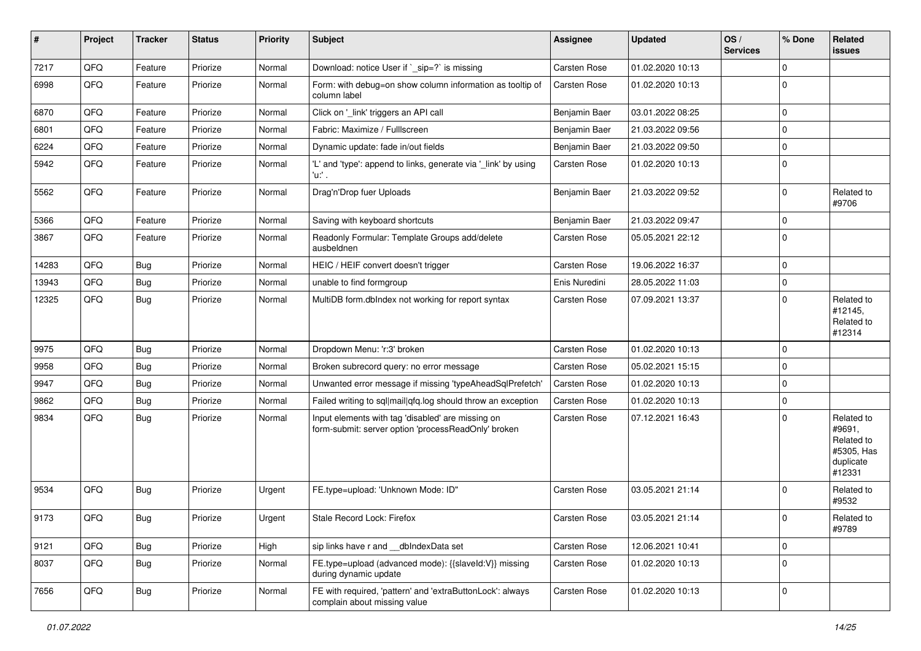| ∦     | Project | <b>Tracker</b> | <b>Status</b> | <b>Priority</b> | <b>Subject</b>                                                                                           | <b>Assignee</b>     | <b>Updated</b>   | OS/<br><b>Services</b> | % Done      | <b>Related</b><br>issues                                                |
|-------|---------|----------------|---------------|-----------------|----------------------------------------------------------------------------------------------------------|---------------------|------------------|------------------------|-------------|-------------------------------------------------------------------------|
| 7217  | QFQ     | Feature        | Priorize      | Normal          | Download: notice User if `_sip=?` is missing                                                             | Carsten Rose        | 01.02.2020 10:13 |                        | 0           |                                                                         |
| 6998  | QFQ     | Feature        | Priorize      | Normal          | Form: with debug=on show column information as tooltip of<br>column label                                | Carsten Rose        | 01.02.2020 10:13 |                        | 0           |                                                                         |
| 6870  | QFQ     | Feature        | Priorize      | Normal          | Click on '_link' triggers an API call                                                                    | Benjamin Baer       | 03.01.2022 08:25 |                        | 0           |                                                                         |
| 6801  | QFQ     | Feature        | Priorize      | Normal          | Fabric: Maximize / FullIscreen                                                                           | Benjamin Baer       | 21.03.2022 09:56 |                        | 0           |                                                                         |
| 6224  | QFQ     | Feature        | Priorize      | Normal          | Dynamic update: fade in/out fields                                                                       | Benjamin Baer       | 21.03.2022 09:50 |                        | 0           |                                                                         |
| 5942  | QFQ     | Feature        | Priorize      | Normal          | 'L' and 'type': append to links, generate via '_link' by using<br>'u' .                                  | Carsten Rose        | 01.02.2020 10:13 |                        | 0           |                                                                         |
| 5562  | QFQ     | Feature        | Priorize      | Normal          | Drag'n'Drop fuer Uploads                                                                                 | Benjamin Baer       | 21.03.2022 09:52 |                        | $\mathbf 0$ | Related to<br>#9706                                                     |
| 5366  | QFQ     | Feature        | Priorize      | Normal          | Saving with keyboard shortcuts                                                                           | Benjamin Baer       | 21.03.2022 09:47 |                        | 0           |                                                                         |
| 3867  | QFQ     | Feature        | Priorize      | Normal          | Readonly Formular: Template Groups add/delete<br>ausbeldnen                                              | Carsten Rose        | 05.05.2021 22:12 |                        | $\Omega$    |                                                                         |
| 14283 | QFQ     | <b>Bug</b>     | Priorize      | Normal          | HEIC / HEIF convert doesn't trigger                                                                      | Carsten Rose        | 19.06.2022 16:37 |                        | 0           |                                                                         |
| 13943 | QFQ     | <b>Bug</b>     | Priorize      | Normal          | unable to find formgroup                                                                                 | Enis Nuredini       | 28.05.2022 11:03 |                        | 0           |                                                                         |
| 12325 | QFQ     | Bug            | Priorize      | Normal          | MultiDB form.dblndex not working for report syntax                                                       | Carsten Rose        | 07.09.2021 13:37 |                        | 0           | Related to<br>#12145,<br>Related to<br>#12314                           |
| 9975  | QFQ     | <b>Bug</b>     | Priorize      | Normal          | Dropdown Menu: 'r:3' broken                                                                              | Carsten Rose        | 01.02.2020 10:13 |                        | 0           |                                                                         |
| 9958  | QFQ     | <b>Bug</b>     | Priorize      | Normal          | Broken subrecord query: no error message                                                                 | <b>Carsten Rose</b> | 05.02.2021 15:15 |                        | 0           |                                                                         |
| 9947  | QFQ     | <b>Bug</b>     | Priorize      | Normal          | Unwanted error message if missing 'typeAheadSqlPrefetch'                                                 | Carsten Rose        | 01.02.2020 10:13 |                        | 0           |                                                                         |
| 9862  | QFQ     | <b>Bug</b>     | Priorize      | Normal          | Failed writing to sql mail qfq.log should throw an exception                                             | <b>Carsten Rose</b> | 01.02.2020 10:13 |                        | 0           |                                                                         |
| 9834  | QFQ     | Bug            | Priorize      | Normal          | Input elements with tag 'disabled' are missing on<br>form-submit: server option 'processReadOnly' broken | Carsten Rose        | 07.12.2021 16:43 |                        | 0           | Related to<br>#9691,<br>Related to<br>#5305, Has<br>duplicate<br>#12331 |
| 9534  | QFQ     | Bug            | Priorize      | Urgent          | FE.type=upload: 'Unknown Mode: ID"                                                                       | <b>Carsten Rose</b> | 03.05.2021 21:14 |                        | 0           | Related to<br>#9532                                                     |
| 9173  | QFG     | Bug            | Priorize      | Urgent          | Stale Record Lock: Firefox                                                                               | Carsten Rose        | 03.05.2021 21:14 |                        | $\Omega$    | Related to<br>#9789                                                     |
| 9121  | QFQ     | Bug            | Priorize      | High            | sip links have r and __dbIndexData set                                                                   | Carsten Rose        | 12.06.2021 10:41 |                        | 0           |                                                                         |
| 8037  | QFQ     | <b>Bug</b>     | Priorize      | Normal          | FE.type=upload (advanced mode): {{slaveId:V}} missing<br>during dynamic update                           | Carsten Rose        | 01.02.2020 10:13 |                        | $\pmb{0}$   |                                                                         |
| 7656  | QFO     | Bug            | Priorize      | Normal          | FE with required, 'pattern' and 'extraButtonLock': always<br>complain about missing value                | Carsten Rose        | 01.02.2020 10:13 |                        | 0           |                                                                         |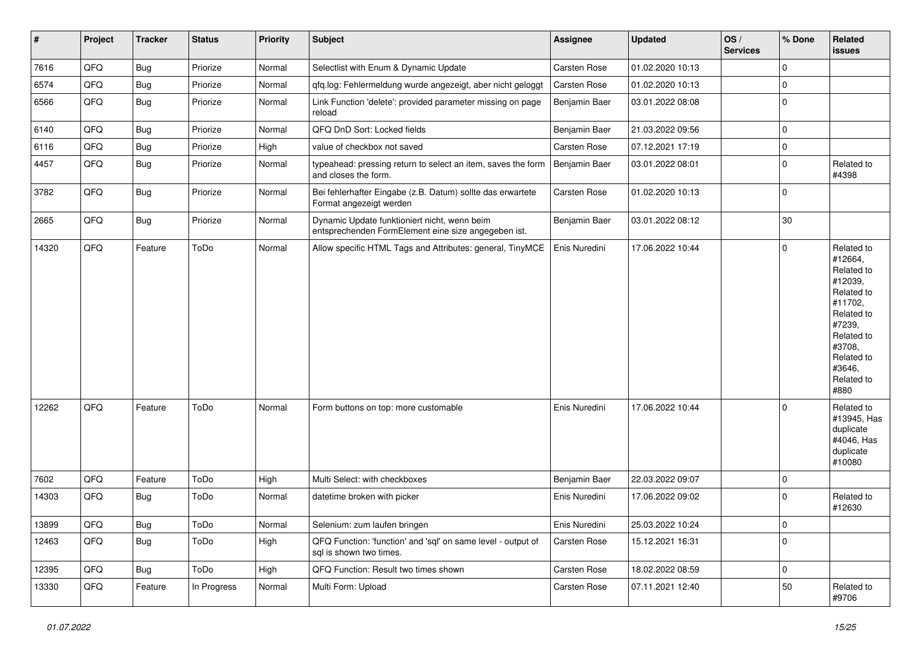| $\vert$ # | Project | <b>Tracker</b> | <b>Status</b> | <b>Priority</b> | <b>Subject</b>                                                                                      | <b>Assignee</b> | <b>Updated</b>   | OS/<br><b>Services</b> | % Done         | Related<br>issues                                                                                                                                                     |
|-----------|---------|----------------|---------------|-----------------|-----------------------------------------------------------------------------------------------------|-----------------|------------------|------------------------|----------------|-----------------------------------------------------------------------------------------------------------------------------------------------------------------------|
| 7616      | QFQ     | Bug            | Priorize      | Normal          | Selectlist with Enum & Dynamic Update                                                               | Carsten Rose    | 01.02.2020 10:13 |                        | $\mathbf 0$    |                                                                                                                                                                       |
| 6574      | QFQ     | <b>Bug</b>     | Priorize      | Normal          | qfq.log: Fehlermeldung wurde angezeigt, aber nicht geloggt                                          | Carsten Rose    | 01.02.2020 10:13 |                        | 0              |                                                                                                                                                                       |
| 6566      | QFQ     | <b>Bug</b>     | Priorize      | Normal          | Link Function 'delete': provided parameter missing on page<br>reload                                | Benjamin Baer   | 03.01.2022 08:08 |                        | $\mathbf 0$    |                                                                                                                                                                       |
| 6140      | QFQ     | <b>Bug</b>     | Priorize      | Normal          | QFQ DnD Sort: Locked fields                                                                         | Benjamin Baer   | 21.03.2022 09:56 |                        | $\mathbf 0$    |                                                                                                                                                                       |
| 6116      | QFQ     | Bug            | Priorize      | High            | value of checkbox not saved                                                                         | Carsten Rose    | 07.12.2021 17:19 |                        | $\mathbf 0$    |                                                                                                                                                                       |
| 4457      | QFQ     | <b>Bug</b>     | Priorize      | Normal          | typeahead: pressing return to select an item, saves the form<br>and closes the form.                | Benjamin Baer   | 03.01.2022 08:01 |                        | $\mathbf 0$    | Related to<br>#4398                                                                                                                                                   |
| 3782      | QFQ     | <b>Bug</b>     | Priorize      | Normal          | Bei fehlerhafter Eingabe (z.B. Datum) sollte das erwartete<br>Format angezeigt werden               | Carsten Rose    | 01.02.2020 10:13 |                        | $\mathbf 0$    |                                                                                                                                                                       |
| 2665      | QFQ     | <b>Bug</b>     | Priorize      | Normal          | Dynamic Update funktioniert nicht, wenn beim<br>entsprechenden FormElement eine size angegeben ist. | Benjamin Baer   | 03.01.2022 08:12 |                        | 30             |                                                                                                                                                                       |
| 14320     | QFQ     | Feature        | ToDo          | Normal          | Allow specific HTML Tags and Attributes: general, TinyMCE                                           | Enis Nuredini   | 17.06.2022 10:44 |                        | $\mathbf 0$    | Related to<br>#12664,<br>Related to<br>#12039,<br>Related to<br>#11702,<br>Related to<br>#7239,<br>Related to<br>#3708,<br>Related to<br>#3646,<br>Related to<br>#880 |
| 12262     | QFQ     | Feature        | ToDo          | Normal          | Form buttons on top: more customable                                                                | Enis Nuredini   | 17.06.2022 10:44 |                        | $\mathbf{0}$   | Related to<br>#13945, Has<br>duplicate<br>#4046, Has<br>duplicate<br>#10080                                                                                           |
| 7602      | QFO     | Feature        | ToDo          | High            | Multi Select: with checkboxes                                                                       | Benjamin Baer   | 22.03.2022 09:07 |                        | 0              |                                                                                                                                                                       |
| 14303     | QFQ     | Bug            | ToDo          | Normal          | datetime broken with picker                                                                         | Enis Nuredini   | 17.06.2022 09:02 |                        | 0              | Related to<br>#12630                                                                                                                                                  |
| 13899     | QFQ     | <b>Bug</b>     | ToDo          | Normal          | Selenium: zum laufen bringen                                                                        | Enis Nuredini   | 25.03.2022 10:24 |                        | $\overline{0}$ |                                                                                                                                                                       |
| 12463     | QFQ     | <b>Bug</b>     | ToDo          | High            | QFQ Function: 'function' and 'sql' on same level - output of<br>sql is shown two times.             | Carsten Rose    | 15.12.2021 16:31 |                        | $\mathbf{0}$   |                                                                                                                                                                       |
| 12395     | QFQ     | <b>Bug</b>     | ToDo          | High            | QFQ Function: Result two times shown                                                                | Carsten Rose    | 18.02.2022 08:59 |                        | $\mathbf 0$    |                                                                                                                                                                       |
| 13330     | QFQ     | Feature        | In Progress   | Normal          | Multi Form: Upload                                                                                  | Carsten Rose    | 07.11.2021 12:40 |                        | 50             | Related to<br>#9706                                                                                                                                                   |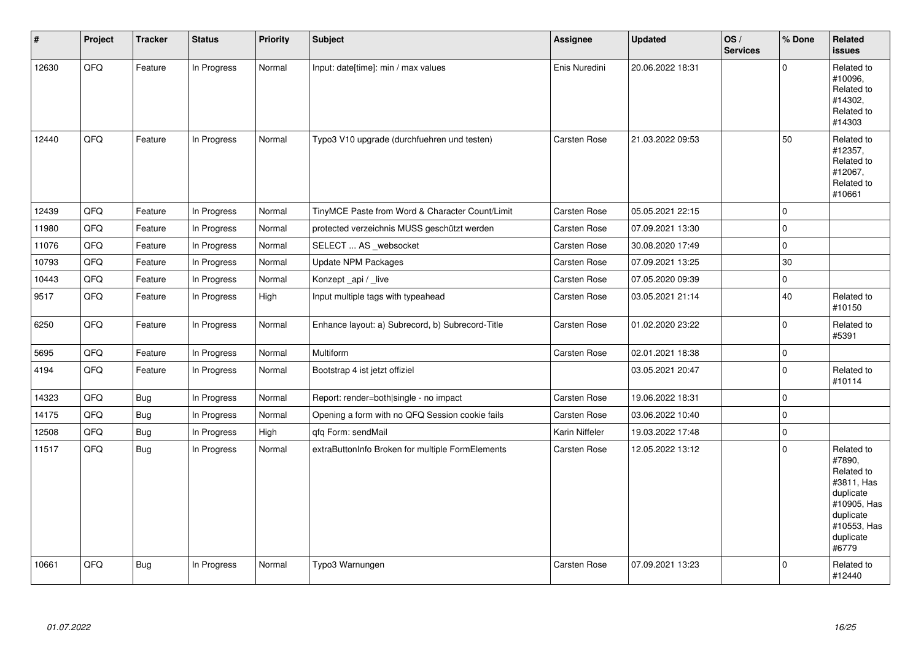| #     | Project | <b>Tracker</b> | <b>Status</b> | Priority | <b>Subject</b>                                   | Assignee            | <b>Updated</b>   | OS/<br><b>Services</b> | % Done      | Related<br>issues                                                                                                              |
|-------|---------|----------------|---------------|----------|--------------------------------------------------|---------------------|------------------|------------------------|-------------|--------------------------------------------------------------------------------------------------------------------------------|
| 12630 | QFQ     | Feature        | In Progress   | Normal   | Input: date[time]: min / max values              | Enis Nuredini       | 20.06.2022 18:31 |                        | $\Omega$    | Related to<br>#10096,<br>Related to<br>#14302,<br>Related to<br>#14303                                                         |
| 12440 | QFQ     | Feature        | In Progress   | Normal   | Typo3 V10 upgrade (durchfuehren und testen)      | Carsten Rose        | 21.03.2022 09:53 |                        | 50          | Related to<br>#12357,<br>Related to<br>#12067,<br>Related to<br>#10661                                                         |
| 12439 | QFQ     | Feature        | In Progress   | Normal   | TinyMCE Paste from Word & Character Count/Limit  | <b>Carsten Rose</b> | 05.05.2021 22:15 |                        | $\mathbf 0$ |                                                                                                                                |
| 11980 | QFQ     | Feature        | In Progress   | Normal   | protected verzeichnis MUSS geschützt werden      | Carsten Rose        | 07.09.2021 13:30 |                        | $\mathbf 0$ |                                                                                                                                |
| 11076 | QFQ     | Feature        | In Progress   | Normal   | SELECT  AS _websocket                            | Carsten Rose        | 30.08.2020 17:49 |                        | 0           |                                                                                                                                |
| 10793 | QFQ     | Feature        | In Progress   | Normal   | <b>Update NPM Packages</b>                       | Carsten Rose        | 07.09.2021 13:25 |                        | 30          |                                                                                                                                |
| 10443 | QFQ     | Feature        | In Progress   | Normal   | Konzept_api / _live                              | Carsten Rose        | 07.05.2020 09:39 |                        | 0           |                                                                                                                                |
| 9517  | QFQ     | Feature        | In Progress   | High     | Input multiple tags with typeahead               | Carsten Rose        | 03.05.2021 21:14 |                        | 40          | Related to<br>#10150                                                                                                           |
| 6250  | QFQ     | Feature        | In Progress   | Normal   | Enhance layout: a) Subrecord, b) Subrecord-Title | Carsten Rose        | 01.02.2020 23:22 |                        | $\pmb{0}$   | Related to<br>#5391                                                                                                            |
| 5695  | QFQ     | Feature        | In Progress   | Normal   | Multiform                                        | Carsten Rose        | 02.01.2021 18:38 |                        | $\pmb{0}$   |                                                                                                                                |
| 4194  | QFQ     | Feature        | In Progress   | Normal   | Bootstrap 4 ist jetzt offiziel                   |                     | 03.05.2021 20:47 |                        | $\mathbf 0$ | Related to<br>#10114                                                                                                           |
| 14323 | QFQ     | <b>Bug</b>     | In Progress   | Normal   | Report: render=both single - no impact           | Carsten Rose        | 19.06.2022 18:31 |                        | 0           |                                                                                                                                |
| 14175 | QFQ     | <b>Bug</b>     | In Progress   | Normal   | Opening a form with no QFQ Session cookie fails  | Carsten Rose        | 03.06.2022 10:40 |                        | $\pmb{0}$   |                                                                                                                                |
| 12508 | QFQ     | <b>Bug</b>     | In Progress   | High     | qfq Form: sendMail                               | Karin Niffeler      | 19.03.2022 17:48 |                        | 0           |                                                                                                                                |
| 11517 | QFQ     | <b>Bug</b>     | In Progress   | Normal   | extraButtonInfo Broken for multiple FormElements | Carsten Rose        | 12.05.2022 13:12 |                        | 0           | Related to<br>#7890,<br>Related to<br>#3811, Has<br>duplicate<br>#10905, Has<br>duplicate<br>#10553, Has<br>duplicate<br>#6779 |
| 10661 | QFQ     | <b>Bug</b>     | In Progress   | Normal   | Typo3 Warnungen                                  | Carsten Rose        | 07.09.2021 13:23 |                        | 0           | Related to<br>#12440                                                                                                           |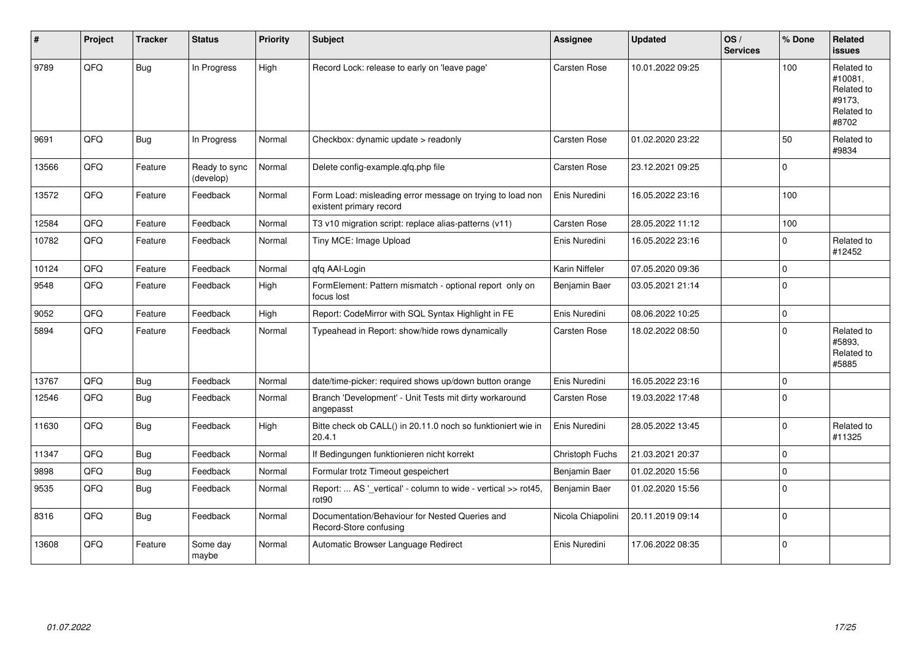| $\vert$ # | Project | <b>Tracker</b> | <b>Status</b>              | <b>Priority</b> | <b>Subject</b>                                                                       | <b>Assignee</b>     | <b>Updated</b>   | OS/<br><b>Services</b> | % Done      | Related<br><b>issues</b>                                             |
|-----------|---------|----------------|----------------------------|-----------------|--------------------------------------------------------------------------------------|---------------------|------------------|------------------------|-------------|----------------------------------------------------------------------|
| 9789      | QFQ     | Bug            | In Progress                | High            | Record Lock: release to early on 'leave page'                                        | Carsten Rose        | 10.01.2022 09:25 |                        | 100         | Related to<br>#10081,<br>Related to<br>#9173.<br>Related to<br>#8702 |
| 9691      | QFQ     | <b>Bug</b>     | In Progress                | Normal          | Checkbox: dynamic update > readonly                                                  | Carsten Rose        | 01.02.2020 23:22 |                        | 50          | Related to<br>#9834                                                  |
| 13566     | QFQ     | Feature        | Ready to sync<br>(develop) | Normal          | Delete config-example.qfq.php file                                                   | Carsten Rose        | 23.12.2021 09:25 |                        | $\Omega$    |                                                                      |
| 13572     | QFQ     | Feature        | Feedback                   | Normal          | Form Load: misleading error message on trying to load non<br>existent primary record | Enis Nuredini       | 16.05.2022 23:16 |                        | 100         |                                                                      |
| 12584     | QFQ     | Feature        | Feedback                   | Normal          | T3 v10 migration script: replace alias-patterns (v11)                                | Carsten Rose        | 28.05.2022 11:12 |                        | 100         |                                                                      |
| 10782     | QFQ     | Feature        | Feedback                   | Normal          | Tiny MCE: Image Upload                                                               | Enis Nuredini       | 16.05.2022 23:16 |                        | $\mathbf 0$ | Related to<br>#12452                                                 |
| 10124     | QFQ     | Feature        | Feedback                   | Normal          | qfq AAI-Login                                                                        | Karin Niffeler      | 07.05.2020 09:36 |                        | $\Omega$    |                                                                      |
| 9548      | QFQ     | Feature        | Feedback                   | High            | FormElement: Pattern mismatch - optional report only on<br>focus lost                | Benjamin Baer       | 03.05.2021 21:14 |                        | $\mathbf 0$ |                                                                      |
| 9052      | QFQ     | Feature        | Feedback                   | High            | Report: CodeMirror with SQL Syntax Highlight in FE                                   | Enis Nuredini       | 08.06.2022 10:25 |                        | $\Omega$    |                                                                      |
| 5894      | QFQ     | Feature        | Feedback                   | Normal          | Typeahead in Report: show/hide rows dynamically                                      | Carsten Rose        | 18.02.2022 08:50 |                        | $\Omega$    | Related to<br>#5893.<br>Related to<br>#5885                          |
| 13767     | QFQ     | <b>Bug</b>     | Feedback                   | Normal          | date/time-picker: required shows up/down button orange                               | Enis Nuredini       | 16.05.2022 23:16 |                        | 0           |                                                                      |
| 12546     | QFQ     | Bug            | Feedback                   | Normal          | Branch 'Development' - Unit Tests mit dirty workaround<br>angepasst                  | <b>Carsten Rose</b> | 19.03.2022 17:48 |                        | $\mathbf 0$ |                                                                      |
| 11630     | QFQ     | <b>Bug</b>     | Feedback                   | High            | Bitte check ob CALL() in 20.11.0 noch so funktioniert wie in<br>20.4.1               | Enis Nuredini       | 28.05.2022 13:45 |                        | $\mathbf 0$ | Related to<br>#11325                                                 |
| 11347     | QFQ     | Bug            | Feedback                   | Normal          | If Bedingungen funktionieren nicht korrekt                                           | Christoph Fuchs     | 21.03.2021 20:37 |                        | $\Omega$    |                                                                      |
| 9898      | QFQ     | <b>Bug</b>     | Feedback                   | Normal          | Formular trotz Timeout gespeichert                                                   | Benjamin Baer       | 01.02.2020 15:56 |                        | $\mathbf 0$ |                                                                      |
| 9535      | QFQ     | <b>Bug</b>     | Feedback                   | Normal          | Report:  AS '_vertical' - column to wide - vertical >> rot45,<br>rot <sub>90</sub>   | Benjamin Baer       | 01.02.2020 15:56 |                        | $\Omega$    |                                                                      |
| 8316      | QFQ     | <b>Bug</b>     | Feedback                   | Normal          | Documentation/Behaviour for Nested Queries and<br>Record-Store confusing             | Nicola Chiapolini   | 20.11.2019 09:14 |                        | $\Omega$    |                                                                      |
| 13608     | QFQ     | Feature        | Some day<br>maybe          | Normal          | Automatic Browser Language Redirect                                                  | Enis Nuredini       | 17.06.2022 08:35 |                        | $\Omega$    |                                                                      |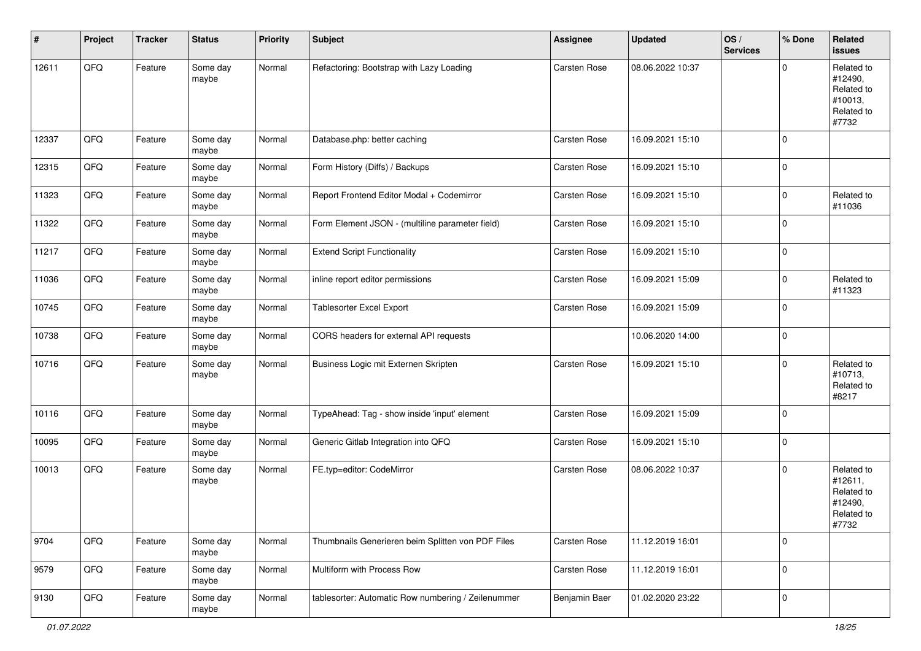| #     | Project | <b>Tracker</b> | <b>Status</b>     | <b>Priority</b> | <b>Subject</b>                                     | <b>Assignee</b>     | <b>Updated</b>   | OS/<br><b>Services</b> | % Done       | Related<br><b>issues</b>                                              |
|-------|---------|----------------|-------------------|-----------------|----------------------------------------------------|---------------------|------------------|------------------------|--------------|-----------------------------------------------------------------------|
| 12611 | QFQ     | Feature        | Some day<br>maybe | Normal          | Refactoring: Bootstrap with Lazy Loading           | Carsten Rose        | 08.06.2022 10:37 |                        | $\mathbf 0$  | Related to<br>#12490,<br>Related to<br>#10013,<br>Related to<br>#7732 |
| 12337 | QFQ     | Feature        | Some day<br>maybe | Normal          | Database.php: better caching                       | Carsten Rose        | 16.09.2021 15:10 |                        | $\mathbf{0}$ |                                                                       |
| 12315 | QFQ     | Feature        | Some day<br>maybe | Normal          | Form History (Diffs) / Backups                     | Carsten Rose        | 16.09.2021 15:10 |                        | $\mathbf 0$  |                                                                       |
| 11323 | QFQ     | Feature        | Some day<br>maybe | Normal          | Report Frontend Editor Modal + Codemirror          | Carsten Rose        | 16.09.2021 15:10 |                        | 0            | Related to<br>#11036                                                  |
| 11322 | QFQ     | Feature        | Some day<br>maybe | Normal          | Form Element JSON - (multiline parameter field)    | Carsten Rose        | 16.09.2021 15:10 |                        | $\mathbf 0$  |                                                                       |
| 11217 | QFQ     | Feature        | Some day<br>maybe | Normal          | <b>Extend Script Functionality</b>                 | Carsten Rose        | 16.09.2021 15:10 |                        | $\mathbf 0$  |                                                                       |
| 11036 | QFQ     | Feature        | Some day<br>maybe | Normal          | inline report editor permissions                   | Carsten Rose        | 16.09.2021 15:09 |                        | $\mathbf 0$  | Related to<br>#11323                                                  |
| 10745 | QFQ     | Feature        | Some day<br>maybe | Normal          | Tablesorter Excel Export                           | Carsten Rose        | 16.09.2021 15:09 |                        | $\mathbf 0$  |                                                                       |
| 10738 | QFQ     | Feature        | Some day<br>maybe | Normal          | CORS headers for external API requests             |                     | 10.06.2020 14:00 |                        | $\mathbf 0$  |                                                                       |
| 10716 | QFQ     | Feature        | Some day<br>maybe | Normal          | Business Logic mit Externen Skripten               | Carsten Rose        | 16.09.2021 15:10 |                        | $\mathbf 0$  | Related to<br>#10713,<br>Related to<br>#8217                          |
| 10116 | QFQ     | Feature        | Some day<br>maybe | Normal          | TypeAhead: Tag - show inside 'input' element       | Carsten Rose        | 16.09.2021 15:09 |                        | $\mathbf{0}$ |                                                                       |
| 10095 | QFQ     | Feature        | Some day<br>maybe | Normal          | Generic Gitlab Integration into QFQ                | Carsten Rose        | 16.09.2021 15:10 |                        | $\mathbf 0$  |                                                                       |
| 10013 | QFQ     | Feature        | Some day<br>maybe | Normal          | FE.typ=editor: CodeMirror                          | <b>Carsten Rose</b> | 08.06.2022 10:37 |                        | $\mathbf 0$  | Related to<br>#12611,<br>Related to<br>#12490,<br>Related to<br>#7732 |
| 9704  | QFQ     | Feature        | Some day<br>maybe | Normal          | Thumbnails Generieren beim Splitten von PDF Files  | Carsten Rose        | 11.12.2019 16:01 |                        | $\mathbf 0$  |                                                                       |
| 9579  | QFQ     | Feature        | Some day<br>maybe | Normal          | Multiform with Process Row                         | Carsten Rose        | 11.12.2019 16:01 |                        | $\mathbf 0$  |                                                                       |
| 9130  | QFQ     | Feature        | Some day<br>maybe | Normal          | tablesorter: Automatic Row numbering / Zeilenummer | Benjamin Baer       | 01.02.2020 23:22 |                        | $\mathbf 0$  |                                                                       |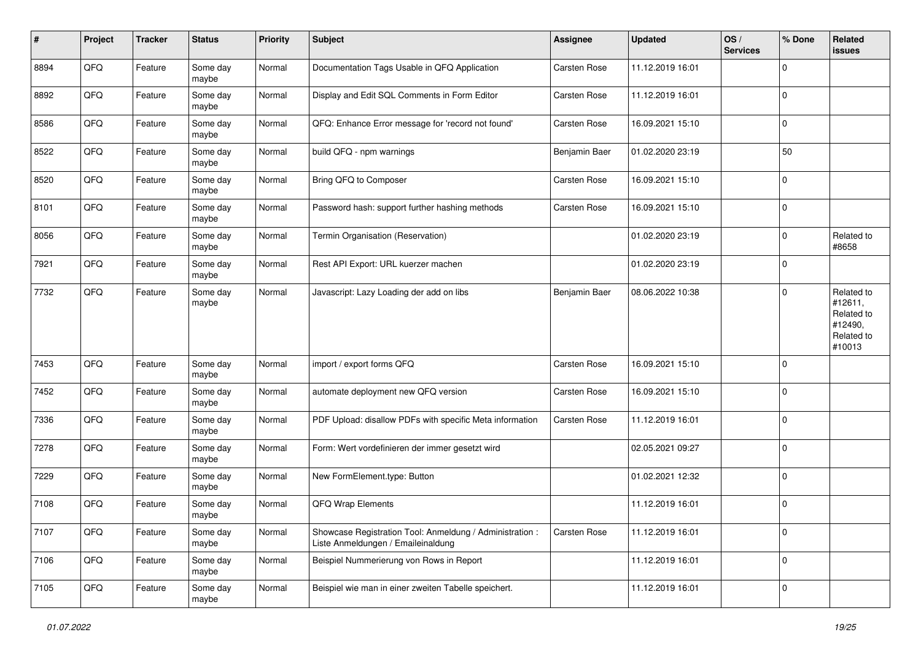| #    | Project | <b>Tracker</b> | <b>Status</b>     | <b>Priority</b> | <b>Subject</b>                                                                                 | Assignee            | <b>Updated</b>   | OS/<br><b>Services</b> | % Done         | Related<br><b>issues</b>                                               |
|------|---------|----------------|-------------------|-----------------|------------------------------------------------------------------------------------------------|---------------------|------------------|------------------------|----------------|------------------------------------------------------------------------|
| 8894 | QFQ     | Feature        | Some day<br>maybe | Normal          | Documentation Tags Usable in QFQ Application                                                   | Carsten Rose        | 11.12.2019 16:01 |                        | $\mathbf 0$    |                                                                        |
| 8892 | QFQ     | Feature        | Some day<br>maybe | Normal          | Display and Edit SQL Comments in Form Editor                                                   | <b>Carsten Rose</b> | 11.12.2019 16:01 |                        | $\mathbf 0$    |                                                                        |
| 8586 | QFQ     | Feature        | Some day<br>maybe | Normal          | QFQ: Enhance Error message for 'record not found'                                              | Carsten Rose        | 16.09.2021 15:10 |                        | $\mathbf 0$    |                                                                        |
| 8522 | QFQ     | Feature        | Some day<br>maybe | Normal          | build QFQ - npm warnings                                                                       | Benjamin Baer       | 01.02.2020 23:19 |                        | 50             |                                                                        |
| 8520 | QFQ     | Feature        | Some day<br>maybe | Normal          | Bring QFQ to Composer                                                                          | Carsten Rose        | 16.09.2021 15:10 |                        | $\mathbf 0$    |                                                                        |
| 8101 | QFQ     | Feature        | Some day<br>maybe | Normal          | Password hash: support further hashing methods                                                 | Carsten Rose        | 16.09.2021 15:10 |                        | $\mathbf 0$    |                                                                        |
| 8056 | QFQ     | Feature        | Some day<br>maybe | Normal          | Termin Organisation (Reservation)                                                              |                     | 01.02.2020 23:19 |                        | $\mathbf 0$    | Related to<br>#8658                                                    |
| 7921 | QFQ     | Feature        | Some day<br>maybe | Normal          | Rest API Export: URL kuerzer machen                                                            |                     | 01.02.2020 23:19 |                        | $\mathbf 0$    |                                                                        |
| 7732 | QFQ     | Feature        | Some day<br>maybe | Normal          | Javascript: Lazy Loading der add on libs                                                       | Benjamin Baer       | 08.06.2022 10:38 |                        | $\mathbf 0$    | Related to<br>#12611,<br>Related to<br>#12490,<br>Related to<br>#10013 |
| 7453 | QFQ     | Feature        | Some day<br>maybe | Normal          | import / export forms QFQ                                                                      | <b>Carsten Rose</b> | 16.09.2021 15:10 |                        | $\mathbf 0$    |                                                                        |
| 7452 | QFQ     | Feature        | Some day<br>maybe | Normal          | automate deployment new QFQ version                                                            | Carsten Rose        | 16.09.2021 15:10 |                        | $\mathbf 0$    |                                                                        |
| 7336 | QFQ     | Feature        | Some day<br>maybe | Normal          | PDF Upload: disallow PDFs with specific Meta information                                       | Carsten Rose        | 11.12.2019 16:01 |                        | $\mathbf 0$    |                                                                        |
| 7278 | QFQ     | Feature        | Some day<br>maybe | Normal          | Form: Wert vordefinieren der immer gesetzt wird                                                |                     | 02.05.2021 09:27 |                        | $\mathbf 0$    |                                                                        |
| 7229 | QFQ     | Feature        | Some day<br>maybe | Normal          | New FormElement.type: Button                                                                   |                     | 01.02.2021 12:32 |                        | $\mathbf 0$    |                                                                        |
| 7108 | QFQ     | Feature        | Some day<br>maybe | Normal          | QFQ Wrap Elements                                                                              |                     | 11.12.2019 16:01 |                        | $\mathbf 0$    |                                                                        |
| 7107 | QFQ     | Feature        | Some day<br>maybe | Normal          | Showcase Registration Tool: Anmeldung / Administration :<br>Liste Anmeldungen / Emaileinaldung | Carsten Rose        | 11.12.2019 16:01 |                        | $\overline{0}$ |                                                                        |
| 7106 | QFQ     | Feature        | Some day<br>maybe | Normal          | Beispiel Nummerierung von Rows in Report                                                       |                     | 11.12.2019 16:01 |                        | $\mathsf 0$    |                                                                        |
| 7105 | QFQ     | Feature        | Some day<br>maybe | Normal          | Beispiel wie man in einer zweiten Tabelle speichert.                                           |                     | 11.12.2019 16:01 |                        | $\mathbf 0$    |                                                                        |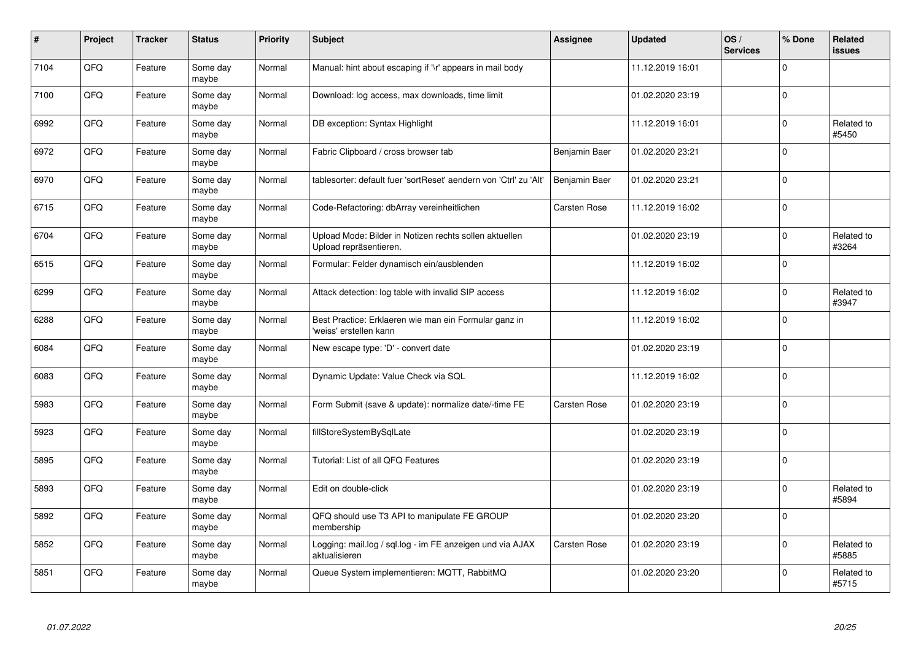| $\pmb{\#}$ | Project | <b>Tracker</b> | <b>Status</b>     | <b>Priority</b> | Subject                                                                          | Assignee            | <b>Updated</b>   | OS/<br><b>Services</b> | % Done       | <b>Related</b><br><b>issues</b> |
|------------|---------|----------------|-------------------|-----------------|----------------------------------------------------------------------------------|---------------------|------------------|------------------------|--------------|---------------------------------|
| 7104       | QFQ     | Feature        | Some day<br>maybe | Normal          | Manual: hint about escaping if '\r' appears in mail body                         |                     | 11.12.2019 16:01 |                        | $\Omega$     |                                 |
| 7100       | QFQ     | Feature        | Some day<br>maybe | Normal          | Download: log access, max downloads, time limit                                  |                     | 01.02.2020 23:19 |                        | $\mathbf{0}$ |                                 |
| 6992       | QFQ     | Feature        | Some day<br>maybe | Normal          | DB exception: Syntax Highlight                                                   |                     | 11.12.2019 16:01 |                        | 0            | Related to<br>#5450             |
| 6972       | QFQ     | Feature        | Some day<br>maybe | Normal          | Fabric Clipboard / cross browser tab                                             | Benjamin Baer       | 01.02.2020 23:21 |                        | $\Omega$     |                                 |
| 6970       | QFQ     | Feature        | Some day<br>maybe | Normal          | tablesorter: default fuer 'sortReset' aendern von 'Ctrl' zu 'Alt'                | Benjamin Baer       | 01.02.2020 23:21 |                        | $\mathbf{0}$ |                                 |
| 6715       | QFQ     | Feature        | Some day<br>maybe | Normal          | Code-Refactoring: dbArray vereinheitlichen                                       | <b>Carsten Rose</b> | 11.12.2019 16:02 |                        | $\mathbf{0}$ |                                 |
| 6704       | QFQ     | Feature        | Some day<br>maybe | Normal          | Upload Mode: Bilder in Notizen rechts sollen aktuellen<br>Upload repräsentieren. |                     | 01.02.2020 23:19 |                        | $\mathbf 0$  | Related to<br>#3264             |
| 6515       | QFQ     | Feature        | Some day<br>maybe | Normal          | Formular: Felder dynamisch ein/ausblenden                                        |                     | 11.12.2019 16:02 |                        | $\mathbf 0$  |                                 |
| 6299       | QFQ     | Feature        | Some day<br>maybe | Normal          | Attack detection: log table with invalid SIP access                              |                     | 11.12.2019 16:02 |                        | $\Omega$     | Related to<br>#3947             |
| 6288       | QFQ     | Feature        | Some day<br>maybe | Normal          | Best Practice: Erklaeren wie man ein Formular ganz in<br>'weiss' erstellen kann  |                     | 11.12.2019 16:02 |                        | $\mathbf 0$  |                                 |
| 6084       | QFQ     | Feature        | Some day<br>maybe | Normal          | New escape type: 'D' - convert date                                              |                     | 01.02.2020 23:19 |                        | $\mathbf 0$  |                                 |
| 6083       | QFQ     | Feature        | Some day<br>maybe | Normal          | Dynamic Update: Value Check via SQL                                              |                     | 11.12.2019 16:02 |                        | $\mathbf{0}$ |                                 |
| 5983       | QFQ     | Feature        | Some day<br>maybe | Normal          | Form Submit (save & update): normalize date/-time FE                             | <b>Carsten Rose</b> | 01.02.2020 23:19 |                        | $\mathbf 0$  |                                 |
| 5923       | QFQ     | Feature        | Some day<br>maybe | Normal          | fillStoreSystemBySqlLate                                                         |                     | 01.02.2020 23:19 |                        | $\mathbf 0$  |                                 |
| 5895       | QFQ     | Feature        | Some day<br>maybe | Normal          | Tutorial: List of all QFQ Features                                               |                     | 01.02.2020 23:19 |                        | $\Omega$     |                                 |
| 5893       | QFQ     | Feature        | Some day<br>maybe | Normal          | Edit on double-click                                                             |                     | 01.02.2020 23:19 |                        | $\Omega$     | Related to<br>#5894             |
| 5892       | QFQ     | Feature        | Some day<br>maybe | Normal          | QFQ should use T3 API to manipulate FE GROUP<br>membership                       |                     | 01.02.2020 23:20 |                        | $\mathbf 0$  |                                 |
| 5852       | QFQ     | Feature        | Some day<br>maybe | Normal          | Logging: mail.log / sql.log - im FE anzeigen und via AJAX<br>aktualisieren       | Carsten Rose        | 01.02.2020 23:19 |                        | 0            | Related to<br>#5885             |
| 5851       | QFQ     | Feature        | Some day<br>maybe | Normal          | Queue System implementieren: MQTT, RabbitMQ                                      |                     | 01.02.2020 23:20 |                        | $\Omega$     | Related to<br>#5715             |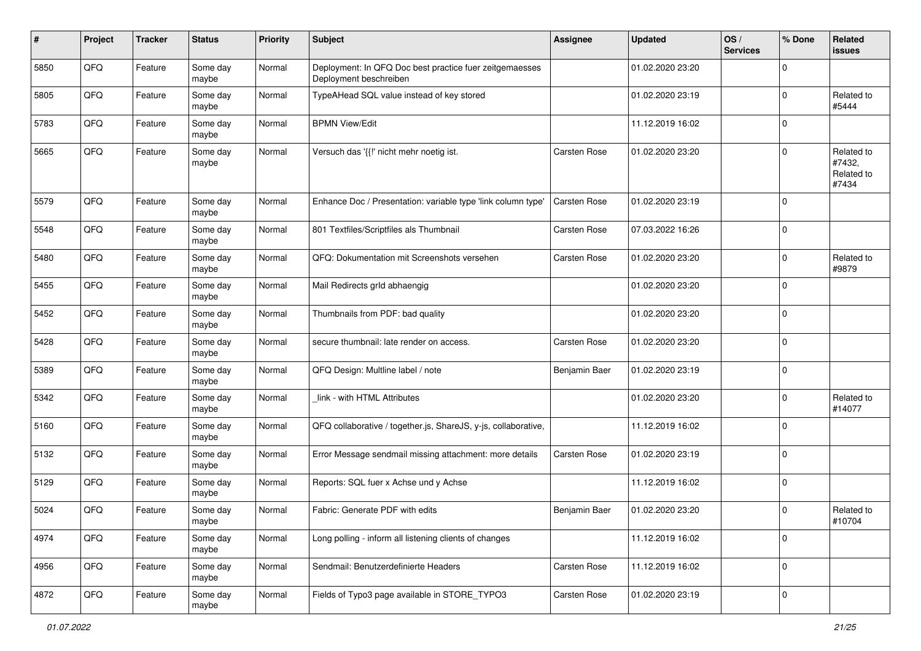| #    | Project | <b>Tracker</b> | <b>Status</b>     | <b>Priority</b> | <b>Subject</b>                                                                    | <b>Assignee</b>     | <b>Updated</b>   | OS/<br><b>Services</b> | % Done         | Related<br><b>issues</b>                    |
|------|---------|----------------|-------------------|-----------------|-----------------------------------------------------------------------------------|---------------------|------------------|------------------------|----------------|---------------------------------------------|
| 5850 | QFQ     | Feature        | Some day<br>maybe | Normal          | Deployment: In QFQ Doc best practice fuer zeitgemaesses<br>Deployment beschreiben |                     | 01.02.2020 23:20 |                        | $\Omega$       |                                             |
| 5805 | QFQ     | Feature        | Some day<br>maybe | Normal          | TypeAHead SQL value instead of key stored                                         |                     | 01.02.2020 23:19 |                        | $\mathbf 0$    | Related to<br>#5444                         |
| 5783 | QFQ     | Feature        | Some day<br>maybe | Normal          | <b>BPMN View/Edit</b>                                                             |                     | 11.12.2019 16:02 |                        | $\mathbf 0$    |                                             |
| 5665 | QFQ     | Feature        | Some day<br>maybe | Normal          | Versuch das '{{!' nicht mehr noetig ist.                                          | Carsten Rose        | 01.02.2020 23:20 |                        | $\mathbf 0$    | Related to<br>#7432,<br>Related to<br>#7434 |
| 5579 | QFQ     | Feature        | Some day<br>maybe | Normal          | Enhance Doc / Presentation: variable type 'link column type'                      | Carsten Rose        | 01.02.2020 23:19 |                        | $\mathbf 0$    |                                             |
| 5548 | QFQ     | Feature        | Some day<br>maybe | Normal          | 801 Textfiles/Scriptfiles als Thumbnail                                           | Carsten Rose        | 07.03.2022 16:26 |                        | $\mathbf 0$    |                                             |
| 5480 | QFQ     | Feature        | Some day<br>maybe | Normal          | QFQ: Dokumentation mit Screenshots versehen                                       | <b>Carsten Rose</b> | 01.02.2020 23:20 |                        | $\mathbf 0$    | Related to<br>#9879                         |
| 5455 | QFQ     | Feature        | Some day<br>maybe | Normal          | Mail Redirects grld abhaengig                                                     |                     | 01.02.2020 23:20 |                        | $\mathbf 0$    |                                             |
| 5452 | QFQ     | Feature        | Some day<br>maybe | Normal          | Thumbnails from PDF: bad quality                                                  |                     | 01.02.2020 23:20 |                        | $\mathbf 0$    |                                             |
| 5428 | QFQ     | Feature        | Some day<br>maybe | Normal          | secure thumbnail: late render on access.                                          | <b>Carsten Rose</b> | 01.02.2020 23:20 |                        | $\mathbf 0$    |                                             |
| 5389 | QFQ     | Feature        | Some day<br>maybe | Normal          | QFQ Design: Multline label / note                                                 | Benjamin Baer       | 01.02.2020 23:19 |                        | $\mathbf 0$    |                                             |
| 5342 | QFQ     | Feature        | Some day<br>maybe | Normal          | link - with HTML Attributes                                                       |                     | 01.02.2020 23:20 |                        | $\mathbf 0$    | Related to<br>#14077                        |
| 5160 | QFQ     | Feature        | Some day<br>maybe | Normal          | QFQ collaborative / together.js, ShareJS, y-js, collaborative,                    |                     | 11.12.2019 16:02 |                        | $\mathbf 0$    |                                             |
| 5132 | QFQ     | Feature        | Some day<br>maybe | Normal          | Error Message sendmail missing attachment: more details                           | <b>Carsten Rose</b> | 01.02.2020 23:19 |                        | $\Omega$       |                                             |
| 5129 | QFQ     | Feature        | Some day<br>maybe | Normal          | Reports: SQL fuer x Achse und y Achse                                             |                     | 11.12.2019 16:02 |                        | $\mathbf 0$    |                                             |
| 5024 | QFQ     | Feature        | Some day<br>maybe | Normal          | Fabric: Generate PDF with edits                                                   | Benjamin Baer       | 01.02.2020 23:20 |                        | $\mathbf 0$    | Related to<br>#10704                        |
| 4974 | QFQ     | Feature        | Some day<br>maybe | Normal          | Long polling - inform all listening clients of changes                            |                     | 11.12.2019 16:02 |                        | $\mathbf 0$    |                                             |
| 4956 | QFQ     | Feature        | Some day<br>maybe | Normal          | Sendmail: Benutzerdefinierte Headers                                              | Carsten Rose        | 11.12.2019 16:02 |                        | $\mathbf 0$    |                                             |
| 4872 | QFG     | Feature        | Some day<br>maybe | Normal          | Fields of Typo3 page available in STORE_TYPO3                                     | Carsten Rose        | 01.02.2020 23:19 |                        | $\overline{0}$ |                                             |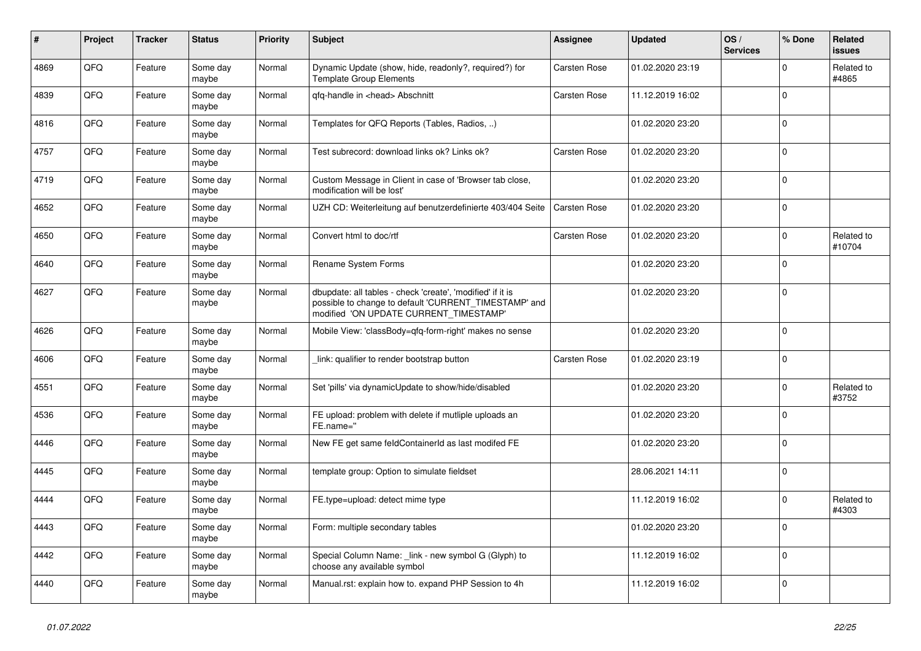| $\vert$ # | Project | <b>Tracker</b> | <b>Status</b>     | <b>Priority</b> | <b>Subject</b>                                                                                                                                                | Assignee            | <b>Updated</b>   | OS/<br><b>Services</b> | % Done      | Related<br><b>issues</b> |
|-----------|---------|----------------|-------------------|-----------------|---------------------------------------------------------------------------------------------------------------------------------------------------------------|---------------------|------------------|------------------------|-------------|--------------------------|
| 4869      | QFQ     | Feature        | Some day<br>maybe | Normal          | Dynamic Update (show, hide, readonly?, required?) for<br><b>Template Group Elements</b>                                                                       | <b>Carsten Rose</b> | 01.02.2020 23:19 |                        | $\mathbf 0$ | Related to<br>#4865      |
| 4839      | QFQ     | Feature        | Some day<br>maybe | Normal          | qfq-handle in <head> Abschnitt</head>                                                                                                                         | Carsten Rose        | 11.12.2019 16:02 |                        | $\Omega$    |                          |
| 4816      | QFQ     | Feature        | Some day<br>maybe | Normal          | Templates for QFQ Reports (Tables, Radios, )                                                                                                                  |                     | 01.02.2020 23:20 |                        | $\Omega$    |                          |
| 4757      | QFQ     | Feature        | Some day<br>maybe | Normal          | Test subrecord: download links ok? Links ok?                                                                                                                  | <b>Carsten Rose</b> | 01.02.2020 23:20 |                        | $\mathbf 0$ |                          |
| 4719      | QFQ     | Feature        | Some day<br>maybe | Normal          | Custom Message in Client in case of 'Browser tab close,<br>modification will be lost'                                                                         |                     | 01.02.2020 23:20 |                        | $\Omega$    |                          |
| 4652      | QFQ     | Feature        | Some day<br>maybe | Normal          | UZH CD: Weiterleitung auf benutzerdefinierte 403/404 Seite                                                                                                    | Carsten Rose        | 01.02.2020 23:20 |                        | $\Omega$    |                          |
| 4650      | QFQ     | Feature        | Some day<br>maybe | Normal          | Convert html to doc/rtf                                                                                                                                       | <b>Carsten Rose</b> | 01.02.2020 23:20 |                        | $\mathbf 0$ | Related to<br>#10704     |
| 4640      | QFQ     | Feature        | Some day<br>maybe | Normal          | Rename System Forms                                                                                                                                           |                     | 01.02.2020 23:20 |                        | $\mathbf 0$ |                          |
| 4627      | QFQ     | Feature        | Some day<br>maybe | Normal          | dbupdate: all tables - check 'create', 'modified' if it is<br>possible to change to default 'CURRENT_TIMESTAMP' and<br>modified 'ON UPDATE CURRENT_TIMESTAMP' |                     | 01.02.2020 23:20 |                        | $\Omega$    |                          |
| 4626      | QFQ     | Feature        | Some day<br>maybe | Normal          | Mobile View: 'classBody=qfq-form-right' makes no sense                                                                                                        |                     | 01.02.2020 23:20 |                        | $\mathbf 0$ |                          |
| 4606      | QFQ     | Feature        | Some day<br>maybe | Normal          | link: qualifier to render bootstrap button                                                                                                                    | Carsten Rose        | 01.02.2020 23:19 |                        | $\mathbf 0$ |                          |
| 4551      | QFQ     | Feature        | Some day<br>maybe | Normal          | Set 'pills' via dynamicUpdate to show/hide/disabled                                                                                                           |                     | 01.02.2020 23:20 |                        | $\Omega$    | Related to<br>#3752      |
| 4536      | QFQ     | Feature        | Some day<br>maybe | Normal          | FE upload: problem with delete if mutliple uploads an<br>FE.name="                                                                                            |                     | 01.02.2020 23:20 |                        | $\mathbf 0$ |                          |
| 4446      | QFQ     | Feature        | Some day<br>maybe | Normal          | New FE get same feldContainerId as last modifed FE                                                                                                            |                     | 01.02.2020 23:20 |                        | $\mathbf 0$ |                          |
| 4445      | QFQ     | Feature        | Some day<br>maybe | Normal          | template group: Option to simulate fieldset                                                                                                                   |                     | 28.06.2021 14:11 |                        | $\Omega$    |                          |
| 4444      | QFQ     | Feature        | Some day<br>maybe | Normal          | FE.type=upload: detect mime type                                                                                                                              |                     | 11.12.2019 16:02 |                        | $\mathbf 0$ | Related to<br>#4303      |
| 4443      | QFQ     | Feature        | Some day<br>maybe | Normal          | Form: multiple secondary tables                                                                                                                               |                     | 01.02.2020 23:20 |                        | $\Omega$    |                          |
| 4442      | QFQ     | Feature        | Some day<br>maybe | Normal          | Special Column Name: link - new symbol G (Glyph) to<br>choose any available symbol                                                                            |                     | 11.12.2019 16:02 |                        | $\Omega$    |                          |
| 4440      | QFQ     | Feature        | Some day<br>maybe | Normal          | Manual.rst: explain how to. expand PHP Session to 4h                                                                                                          |                     | 11.12.2019 16:02 |                        | $\mathbf 0$ |                          |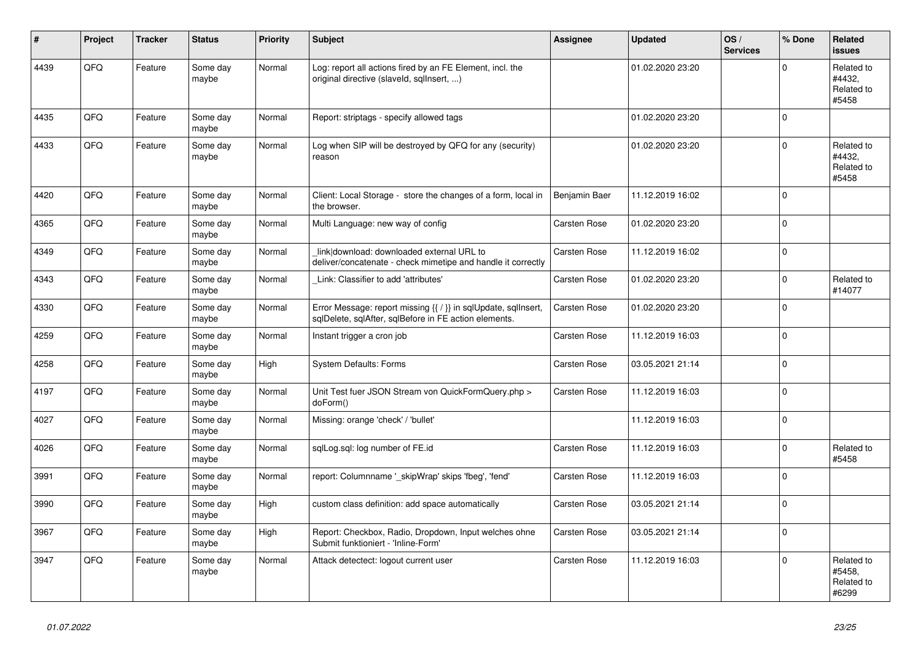| #    | Project | <b>Tracker</b> | <b>Status</b>     | <b>Priority</b> | <b>Subject</b>                                                                                                          | <b>Assignee</b>     | <b>Updated</b>   | OS/<br><b>Services</b> | % Done         | Related<br>issues                           |
|------|---------|----------------|-------------------|-----------------|-------------------------------------------------------------------------------------------------------------------------|---------------------|------------------|------------------------|----------------|---------------------------------------------|
| 4439 | QFQ     | Feature        | Some day<br>maybe | Normal          | Log: report all actions fired by an FE Element, incl. the<br>original directive (slaveld, sqllnsert, )                  |                     | 01.02.2020 23:20 |                        | $\Omega$       | Related to<br>#4432,<br>Related to<br>#5458 |
| 4435 | QFQ     | Feature        | Some day<br>maybe | Normal          | Report: striptags - specify allowed tags                                                                                |                     | 01.02.2020 23:20 |                        | $\Omega$       |                                             |
| 4433 | QFQ     | Feature        | Some day<br>maybe | Normal          | Log when SIP will be destroyed by QFQ for any (security)<br>reason                                                      |                     | 01.02.2020 23:20 |                        | $\overline{0}$ | Related to<br>#4432,<br>Related to<br>#5458 |
| 4420 | QFQ     | Feature        | Some dav<br>maybe | Normal          | Client: Local Storage - store the changes of a form, local in<br>the browser.                                           | Benjamin Baer       | 11.12.2019 16:02 |                        | $\mathbf{0}$   |                                             |
| 4365 | QFQ     | Feature        | Some day<br>maybe | Normal          | Multi Language: new way of config                                                                                       | <b>Carsten Rose</b> | 01.02.2020 23:20 |                        | $\mathbf 0$    |                                             |
| 4349 | QFQ     | Feature        | Some day<br>maybe | Normal          | link download: downloaded external URL to<br>deliver/concatenate - check mimetipe and handle it correctly               | Carsten Rose        | 11.12.2019 16:02 |                        | $\Omega$       |                                             |
| 4343 | QFQ     | Feature        | Some day<br>maybe | Normal          | Link: Classifier to add 'attributes'                                                                                    | Carsten Rose        | 01.02.2020 23:20 |                        | $\mathbf{0}$   | Related to<br>#14077                        |
| 4330 | QFQ     | Feature        | Some day<br>maybe | Normal          | Error Message: report missing {{ / }} in sqlUpdate, sqlInsert,<br>sqlDelete, sqlAfter, sqlBefore in FE action elements. | Carsten Rose        | 01.02.2020 23:20 |                        | $\Omega$       |                                             |
| 4259 | QFQ     | Feature        | Some day<br>maybe | Normal          | Instant trigger a cron job                                                                                              | Carsten Rose        | 11.12.2019 16:03 |                        | $\mathbf{0}$   |                                             |
| 4258 | QFQ     | Feature        | Some day<br>maybe | High            | <b>System Defaults: Forms</b>                                                                                           | Carsten Rose        | 03.05.2021 21:14 |                        | $\Omega$       |                                             |
| 4197 | QFQ     | Feature        | Some day<br>maybe | Normal          | Unit Test fuer JSON Stream von QuickFormQuery.php ><br>doForm()                                                         | <b>Carsten Rose</b> | 11.12.2019 16:03 |                        | $\overline{0}$ |                                             |
| 4027 | QFQ     | Feature        | Some day<br>mavbe | Normal          | Missing: orange 'check' / 'bullet'                                                                                      |                     | 11.12.2019 16:03 |                        | $\Omega$       |                                             |
| 4026 | QFQ     | Feature        | Some day<br>maybe | Normal          | sqlLog.sql: log number of FE.id                                                                                         | <b>Carsten Rose</b> | 11.12.2019 16:03 |                        | $\mathbf 0$    | Related to<br>#5458                         |
| 3991 | QFQ     | Feature        | Some day<br>maybe | Normal          | report: Columnname '_skipWrap' skips 'fbeg', 'fend'                                                                     | <b>Carsten Rose</b> | 11.12.2019 16:03 |                        | $\Omega$       |                                             |
| 3990 | QFQ     | Feature        | Some day<br>maybe | High            | custom class definition: add space automatically                                                                        | Carsten Rose        | 03.05.2021 21:14 |                        | $\Omega$       |                                             |
| 3967 | QFQ     | Feature        | Some day<br>maybe | High            | Report: Checkbox, Radio, Dropdown, Input welches ohne<br>Submit funktioniert - 'Inline-Form'                            | <b>Carsten Rose</b> | 03.05.2021 21:14 |                        | $\Omega$       |                                             |
| 3947 | QFQ     | Feature        | Some day<br>maybe | Normal          | Attack detectect: logout current user                                                                                   | <b>Carsten Rose</b> | 11.12.2019 16:03 |                        | $\mathbf 0$    | Related to<br>#5458,<br>Related to<br>#6299 |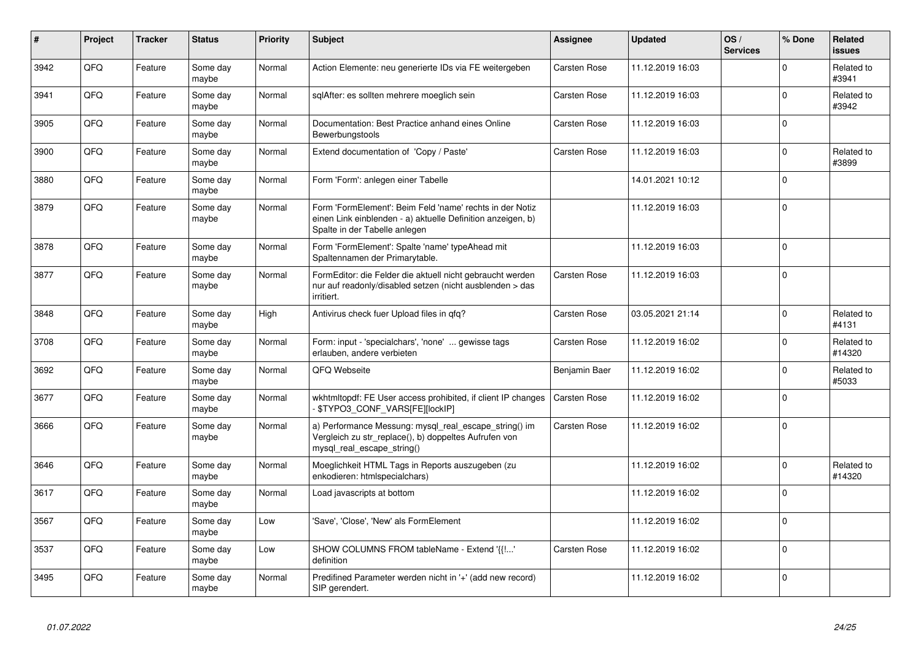| $\vert$ # | Project | <b>Tracker</b> | <b>Status</b>     | <b>Priority</b> | <b>Subject</b>                                                                                                                                           | Assignee            | <b>Updated</b>   | OS/<br><b>Services</b> | % Done      | <b>Related</b><br><b>issues</b> |
|-----------|---------|----------------|-------------------|-----------------|----------------------------------------------------------------------------------------------------------------------------------------------------------|---------------------|------------------|------------------------|-------------|---------------------------------|
| 3942      | QFQ     | Feature        | Some day<br>maybe | Normal          | Action Elemente: neu generierte IDs via FE weitergeben                                                                                                   | <b>Carsten Rose</b> | 11.12.2019 16:03 |                        | $\mathbf 0$ | Related to<br>#3941             |
| 3941      | QFQ     | Feature        | Some day<br>maybe | Normal          | sglAfter: es sollten mehrere moeglich sein                                                                                                               | Carsten Rose        | 11.12.2019 16:03 |                        | 0           | Related to<br>#3942             |
| 3905      | QFQ     | Feature        | Some day<br>maybe | Normal          | Documentation: Best Practice anhand eines Online<br>Bewerbungstools                                                                                      | <b>Carsten Rose</b> | 11.12.2019 16:03 |                        | 0           |                                 |
| 3900      | QFQ     | Feature        | Some day<br>maybe | Normal          | Extend documentation of 'Copy / Paste'                                                                                                                   | <b>Carsten Rose</b> | 11.12.2019 16:03 |                        | $\Omega$    | Related to<br>#3899             |
| 3880      | QFQ     | Feature        | Some day<br>maybe | Normal          | Form 'Form': anlegen einer Tabelle                                                                                                                       |                     | 14.01.2021 10:12 |                        | $\mathbf 0$ |                                 |
| 3879      | QFQ     | Feature        | Some day<br>maybe | Normal          | Form 'FormElement': Beim Feld 'name' rechts in der Notiz<br>einen Link einblenden - a) aktuelle Definition anzeigen, b)<br>Spalte in der Tabelle anlegen |                     | 11.12.2019 16:03 |                        | $\Omega$    |                                 |
| 3878      | QFQ     | Feature        | Some day<br>maybe | Normal          | Form 'FormElement': Spalte 'name' typeAhead mit<br>Spaltennamen der Primarytable.                                                                        |                     | 11.12.2019 16:03 |                        | $\Omega$    |                                 |
| 3877      | QFQ     | Feature        | Some day<br>maybe | Normal          | FormEditor: die Felder die aktuell nicht gebraucht werden<br>nur auf readonly/disabled setzen (nicht ausblenden > das<br>irritiert.                      | <b>Carsten Rose</b> | 11.12.2019 16:03 |                        | $\mathbf 0$ |                                 |
| 3848      | QFQ     | Feature        | Some day<br>maybe | High            | Antivirus check fuer Upload files in qfq?                                                                                                                | <b>Carsten Rose</b> | 03.05.2021 21:14 |                        | $\mathbf 0$ | Related to<br>#4131             |
| 3708      | QFQ     | Feature        | Some day<br>maybe | Normal          | Form: input - 'specialchars', 'none'  gewisse tags<br>erlauben, andere verbieten                                                                         | Carsten Rose        | 11.12.2019 16:02 |                        | $\Omega$    | Related to<br>#14320            |
| 3692      | QFQ     | Feature        | Some day<br>maybe | Normal          | QFQ Webseite                                                                                                                                             | Benjamin Baer       | 11.12.2019 16:02 |                        | 0           | Related to<br>#5033             |
| 3677      | QFQ     | Feature        | Some dav<br>maybe | Normal          | wkhtmitopdf: FE User access prohibited, if client IP changes<br>\$TYPO3_CONF_VARS[FE][lockIP]                                                            | <b>Carsten Rose</b> | 11.12.2019 16:02 |                        | 0           |                                 |
| 3666      | QFQ     | Feature        | Some day<br>maybe | Normal          | a) Performance Messung: mysql_real_escape_string() im<br>Vergleich zu str replace(), b) doppeltes Aufrufen von<br>mysql_real_escape_string()             | Carsten Rose        | 11.12.2019 16:02 |                        | $\Omega$    |                                 |
| 3646      | QFQ     | Feature        | Some day<br>maybe | Normal          | Moeglichkeit HTML Tags in Reports auszugeben (zu<br>enkodieren: htmlspecialchars)                                                                        |                     | 11.12.2019 16:02 |                        | $\Omega$    | Related to<br>#14320            |
| 3617      | QFQ     | Feature        | Some day<br>maybe | Normal          | Load javascripts at bottom                                                                                                                               |                     | 11.12.2019 16:02 |                        | 0           |                                 |
| 3567      | QFQ     | Feature        | Some day<br>maybe | Low             | 'Save', 'Close', 'New' als FormElement                                                                                                                   |                     | 11.12.2019 16:02 |                        | $\Omega$    |                                 |
| 3537      | QFQ     | Feature        | Some day<br>maybe | Low             | SHOW COLUMNS FROM tableName - Extend '{{!'<br>definition                                                                                                 | Carsten Rose        | 11.12.2019 16:02 |                        | $\Omega$    |                                 |
| 3495      | QFQ     | Feature        | Some day<br>maybe | Normal          | Predifined Parameter werden nicht in '+' (add new record)<br>SIP gerendert.                                                                              |                     | 11.12.2019 16:02 |                        | $\Omega$    |                                 |